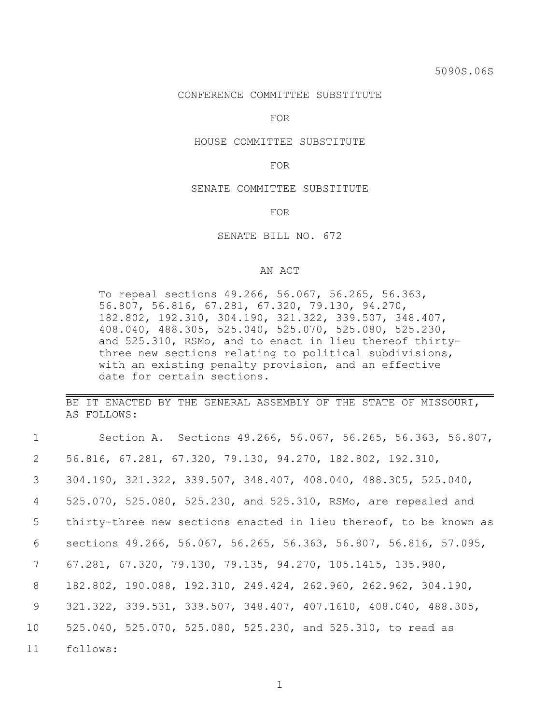### CONFERENCE COMMITTEE SUBSTITUTE

FOR

#### HOUSE COMMITTEE SUBSTITUTE

## FOR

## SENATE COMMITTEE SUBSTITUTE

FOR

## SENATE BILL NO. 672

# AN ACT

To repeal sections 49.266, 56.067, 56.265, 56.363, 56.807, 56.816, 67.281, 67.320, 79.130, 94.270, 182.802, 192.310, 304.190, 321.322, 339.507, 348.407, 408.040, 488.305, 525.040, 525.070, 525.080, 525.230, and 525.310, RSMo, and to enact in lieu thereof thirtythree new sections relating to political subdivisions, with an existing penalty provision, and an effective date for certain sections.

BE IT ENACTED BY THE GENERAL ASSEMBLY OF THE STATE OF MISSOURI, AS FOLLOWS:

| $\mathbf 1$     | Section A. Sections 49.266, 56.067, 56.265, 56.363, 56.807,                          |
|-----------------|--------------------------------------------------------------------------------------|
| 2               | 56.816, 67.281, 67.320, 79.130, 94.270, 182.802, 192.310,                            |
| 3               | 304.190, 321.322, 339.507, 348.407, 408.040, 488.305, 525.040,                       |
| 4               | 525.070, 525.080, 525.230, and 525.310, RSMo, are repealed and                       |
| 5               | thirty-three new sections enacted in lieu thereof, to be known as                    |
| 6               | sections 49.266, 56.067, 56.265, 56.363, 56.807, 56.816, 57.095,                     |
| $7\phantom{.0}$ | 67.281, 67.320, 79.130, 79.135, 94.270, 105.1415, 135.980,                           |
| 8               | 182.802, 190.088, 192.310, 249.424, 262.960, 262.962, 304.190,                       |
| 9               | $321.322$ , $339.531$ , $339.507$ , $348.407$ , $407.1610$ , $408.040$ , $488.305$ , |
| 10 <sup>°</sup> | 525.040, 525.070, 525.080, 525.230, and 525.310, to read as                          |
| 11              | follows:                                                                             |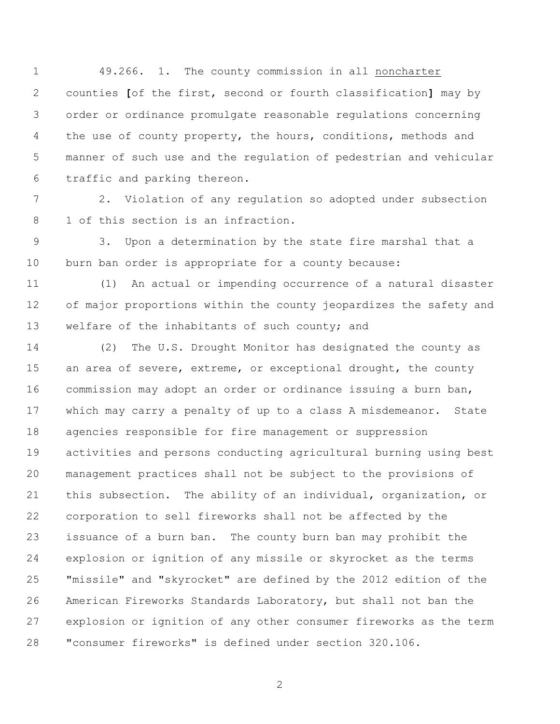49.266. 1. The county commission in all noncharter counties **[**of the first, second or fourth classification**]** may by order or ordinance promulgate reasonable regulations concerning 4 the use of county property, the hours, conditions, methods and manner of such use and the regulation of pedestrian and vehicular traffic and parking thereon.

 2. Violation of any regulation so adopted under subsection 1 of this section is an infraction.

 3. Upon a determination by the state fire marshal that a burn ban order is appropriate for a county because:

 (1) An actual or impending occurrence of a natural disaster of major proportions within the county jeopardizes the safety and 13 welfare of the inhabitants of such county; and

 (2) The U.S. Drought Monitor has designated the county as 15 an area of severe, extreme, or exceptional drought, the county commission may adopt an order or ordinance issuing a burn ban, which may carry a penalty of up to a class A misdemeanor. State agencies responsible for fire management or suppression activities and persons conducting agricultural burning using best management practices shall not be subject to the provisions of this subsection. The ability of an individual, organization, or corporation to sell fireworks shall not be affected by the issuance of a burn ban. The county burn ban may prohibit the explosion or ignition of any missile or skyrocket as the terms "missile" and "skyrocket" are defined by the 2012 edition of the American Fireworks Standards Laboratory, but shall not ban the explosion or ignition of any other consumer fireworks as the term "consumer fireworks" is defined under section 320.106.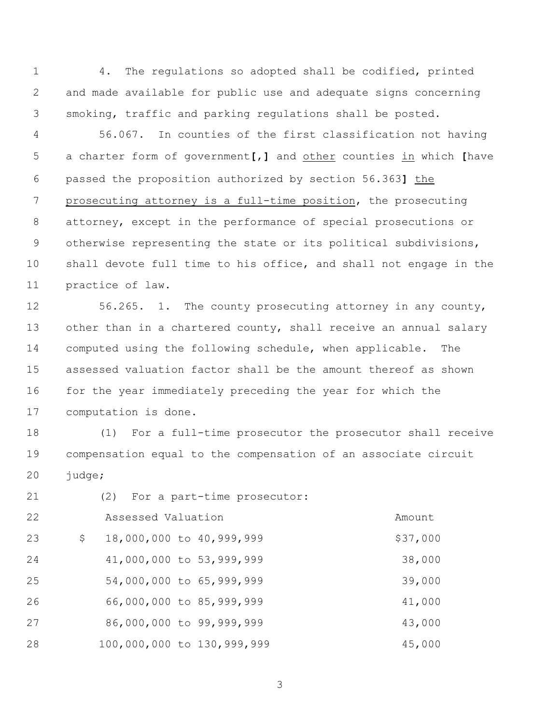4. The regulations so adopted shall be codified, printed and made available for public use and adequate signs concerning smoking, traffic and parking regulations shall be posted.

 56.067. In counties of the first classification not having a charter form of government**[**,**]** and other counties in which **[**have passed the proposition authorized by section 56.363**]** the prosecuting attorney is a full-time position, the prosecuting attorney, except in the performance of special prosecutions or otherwise representing the state or its political subdivisions, shall devote full time to his office, and shall not engage in the practice of law.

 56.265. 1. The county prosecuting attorney in any county, other than in a chartered county, shall receive an annual salary computed using the following schedule, when applicable. The assessed valuation factor shall be the amount thereof as shown 16 for the year immediately preceding the year for which the computation is done.

 (1) For a full-time prosecutor the prosecutor shall receive compensation equal to the compensation of an associate circuit 20 judge;

| 21 | (2) For a part-time prosecutor: |          |
|----|---------------------------------|----------|
| 22 | Assessed Valuation              | Amount   |
| 23 | \$<br>18,000,000 to 40,999,999  | \$37,000 |
| 24 | 41,000,000 to 53,999,999        | 38,000   |
| 25 | 54,000,000 to 65,999,999        | 39,000   |
| 26 | 66,000,000 to 85,999,999        | 41,000   |
| 27 | 86,000,000 to 99,999,999        | 43,000   |
| 28 | 100,000,000 to 130,999,999      | 45,000   |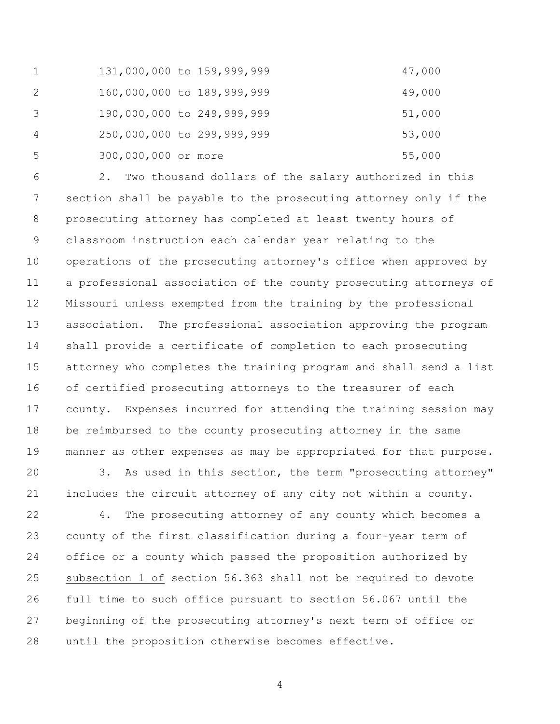|    | 131,000,000 to 159,999,999 | 47,000 |
|----|----------------------------|--------|
| 2  | 160,000,000 to 189,999,999 | 49,000 |
| 3  | 190,000,000 to 249,999,999 | 51,000 |
| 4  | 250,000,000 to 299,999,999 | 53,000 |
| -5 | 300,000,000 or more        | 55,000 |

 2. Two thousand dollars of the salary authorized in this section shall be payable to the prosecuting attorney only if the prosecuting attorney has completed at least twenty hours of classroom instruction each calendar year relating to the operations of the prosecuting attorney's office when approved by a professional association of the county prosecuting attorneys of Missouri unless exempted from the training by the professional association. The professional association approving the program shall provide a certificate of completion to each prosecuting attorney who completes the training program and shall send a list of certified prosecuting attorneys to the treasurer of each county. Expenses incurred for attending the training session may be reimbursed to the county prosecuting attorney in the same manner as other expenses as may be appropriated for that purpose.

 3. As used in this section, the term "prosecuting attorney" includes the circuit attorney of any city not within a county.

 4. The prosecuting attorney of any county which becomes a county of the first classification during a four-year term of office or a county which passed the proposition authorized by subsection 1 of section 56.363 shall not be required to devote full time to such office pursuant to section 56.067 until the beginning of the prosecuting attorney's next term of office or until the proposition otherwise becomes effective.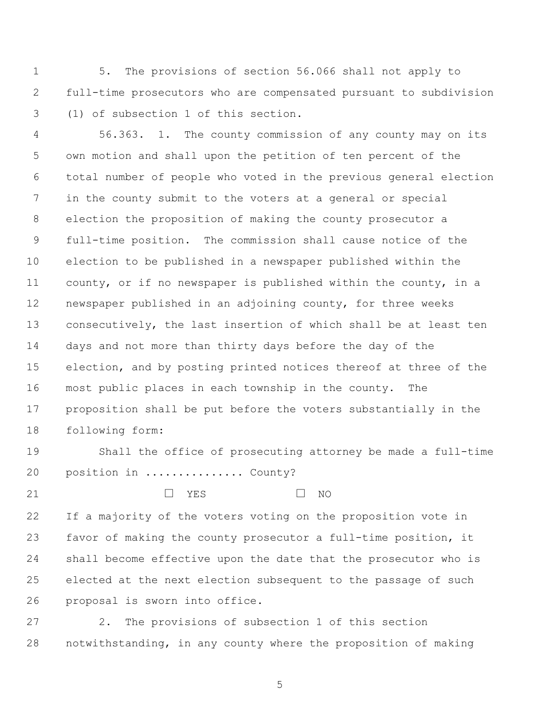5. The provisions of section 56.066 shall not apply to full-time prosecutors who are compensated pursuant to subdivision (1) of subsection 1 of this section.

 56.363. 1. The county commission of any county may on its own motion and shall upon the petition of ten percent of the total number of people who voted in the previous general election in the county submit to the voters at a general or special election the proposition of making the county prosecutor a full-time position. The commission shall cause notice of the election to be published in a newspaper published within the county, or if no newspaper is published within the county, in a newspaper published in an adjoining county, for three weeks consecutively, the last insertion of which shall be at least ten days and not more than thirty days before the day of the election, and by posting printed notices thereof at three of the most public places in each township in the county. The proposition shall be put before the voters substantially in the following form:

 Shall the office of prosecuting attorney be made a full-time 20 position in ................ County?

 $\Box$  YES  $\Box$  NO

 If a majority of the voters voting on the proposition vote in favor of making the county prosecutor a full-time position, it shall become effective upon the date that the prosecutor who is elected at the next election subsequent to the passage of such proposal is sworn into office.

 2. The provisions of subsection 1 of this section notwithstanding, in any county where the proposition of making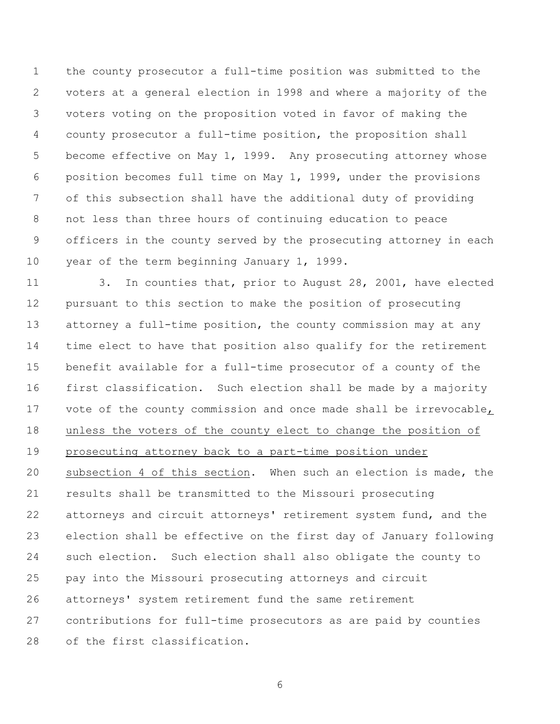the county prosecutor a full-time position was submitted to the voters at a general election in 1998 and where a majority of the voters voting on the proposition voted in favor of making the county prosecutor a full-time position, the proposition shall become effective on May 1, 1999. Any prosecuting attorney whose position becomes full time on May 1, 1999, under the provisions of this subsection shall have the additional duty of providing not less than three hours of continuing education to peace officers in the county served by the prosecuting attorney in each year of the term beginning January 1, 1999.

 3. In counties that, prior to August 28, 2001, have elected pursuant to this section to make the position of prosecuting attorney a full-time position, the county commission may at any time elect to have that position also qualify for the retirement benefit available for a full-time prosecutor of a county of the first classification. Such election shall be made by a majority vote of the county commission and once made shall be irrevocable, unless the voters of the county elect to change the position of prosecuting attorney back to a part-time position under subsection 4 of this section. When such an election is made, the results shall be transmitted to the Missouri prosecuting attorneys and circuit attorneys' retirement system fund, and the election shall be effective on the first day of January following such election. Such election shall also obligate the county to pay into the Missouri prosecuting attorneys and circuit attorneys' system retirement fund the same retirement contributions for full-time prosecutors as are paid by counties of the first classification.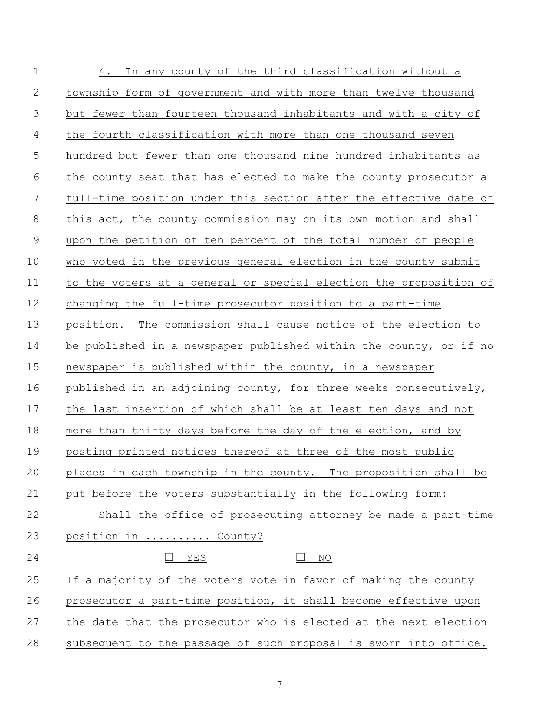| $\mathbf 1$    | 4. In any county of the third classification without a            |
|----------------|-------------------------------------------------------------------|
| $\mathbf{2}$   | township form of government and with more than twelve thousand    |
| 3              | but fewer than fourteen thousand inhabitants and with a city of   |
| $\overline{4}$ | the fourth classification with more than one thousand seven       |
| 5              | hundred but fewer than one thousand nine hundred inhabitants as   |
| 6              | the county seat that has elected to make the county prosecutor a  |
| 7              | full-time position under this section after the effective date of |
| 8              | this act, the county commission may on its own motion and shall   |
| $\mathcal{G}$  | upon the petition of ten percent of the total number of people    |
| 10             | who voted in the previous general election in the county submit   |
| 11             | to the voters at a general or special election the proposition of |
| 12             | changing the full-time prosecutor position to a part-time         |
| 13             | position. The commission shall cause notice of the election to    |
| 14             | be published in a newspaper published within the county, or if no |
| 15             | newspaper is published within the county, in a newspaper          |
| 16             | published in an adjoining county, for three weeks consecutively,  |
| 17             | the last insertion of which shall be at least ten days and not    |
| 18             | more than thirty days before the day of the election, and by      |
| 19             | posting printed notices thereof at three of the most public       |
| 20             | places in each township in the county. The proposition shall be   |
| 21             | put before the voters substantially in the following form:        |
| 22             | Shall the office of prosecuting attorney be made a part-time      |
| 23             | position in  County?                                              |
| 24             | YES<br>ΝO                                                         |
| 25             | If a majority of the voters vote in favor of making the county    |
| 26             | prosecutor a part-time position, it shall become effective upon   |
| 27             | the date that the prosecutor who is elected at the next election  |
| 28             | subsequent to the passage of such proposal is sworn into office.  |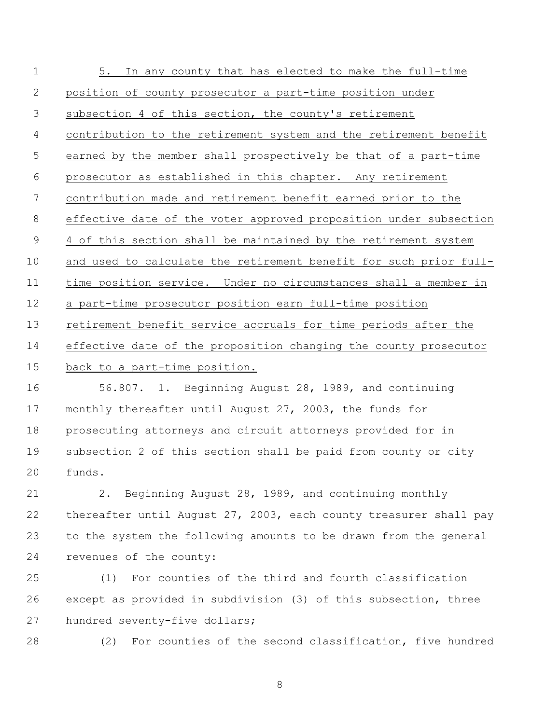| $\mathbf 1$    | 5. In any county that has elected to make the full-time           |
|----------------|-------------------------------------------------------------------|
| $\mathbf{2}$   | position of county prosecutor a part-time position under          |
| 3              | subsection 4 of this section, the county's retirement             |
| 4              | contribution to the retirement system and the retirement benefit  |
| 5              | earned by the member shall prospectively be that of a part-time   |
| 6              | prosecutor as established in this chapter. Any retirement         |
| 7              | contribution made and retirement benefit earned prior to the      |
| 8              | effective date of the voter approved proposition under subsection |
| $\overline{9}$ | 4 of this section shall be maintained by the retirement system    |
| 10             | and used to calculate the retirement benefit for such prior full- |
| 11             | time position service. Under no circumstances shall a member in   |
| 12             | a part-time prosecutor position earn full-time position           |
| 13             | retirement benefit service accruals for time periods after the    |
| 14             | effective date of the proposition changing the county prosecutor  |
| 15             | back to a part-time position.                                     |
| 16             | 56.807. 1. Beginning August 28, 1989, and continuing              |
|                |                                                                   |

 monthly thereafter until August 27, 2003, the funds for prosecuting attorneys and circuit attorneys provided for in subsection 2 of this section shall be paid from county or city funds.

 2. Beginning August 28, 1989, and continuing monthly thereafter until August 27, 2003, each county treasurer shall pay to the system the following amounts to be drawn from the general revenues of the county:

 (1) For counties of the third and fourth classification except as provided in subdivision (3) of this subsection, three hundred seventy-five dollars;

(2) For counties of the second classification, five hundred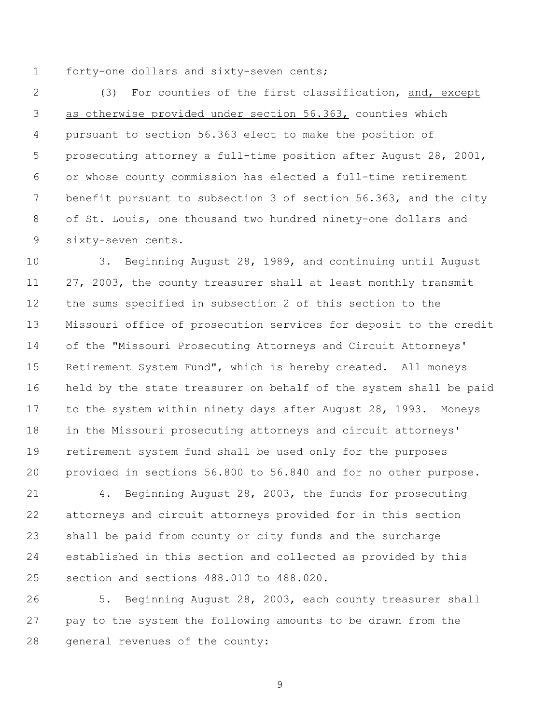forty-one dollars and sixty-seven cents;

 (3) For counties of the first classification, and, except as otherwise provided under section 56.363, counties which pursuant to section 56.363 elect to make the position of prosecuting attorney a full-time position after August 28, 2001, or whose county commission has elected a full-time retirement benefit pursuant to subsection 3 of section 56.363, and the city of St. Louis, one thousand two hundred ninety-one dollars and sixty-seven cents.

 3. Beginning August 28, 1989, and continuing until August 27, 2003, the county treasurer shall at least monthly transmit the sums specified in subsection 2 of this section to the Missouri office of prosecution services for deposit to the credit of the "Missouri Prosecuting Attorneys and Circuit Attorneys' Retirement System Fund", which is hereby created. All moneys held by the state treasurer on behalf of the system shall be paid to the system within ninety days after August 28, 1993. Moneys in the Missouri prosecuting attorneys and circuit attorneys' retirement system fund shall be used only for the purposes provided in sections 56.800 to 56.840 and for no other purpose.

 4. Beginning August 28, 2003, the funds for prosecuting attorneys and circuit attorneys provided for in this section shall be paid from county or city funds and the surcharge established in this section and collected as provided by this section and sections 488.010 to 488.020.

 5. Beginning August 28, 2003, each county treasurer shall pay to the system the following amounts to be drawn from the general revenues of the county: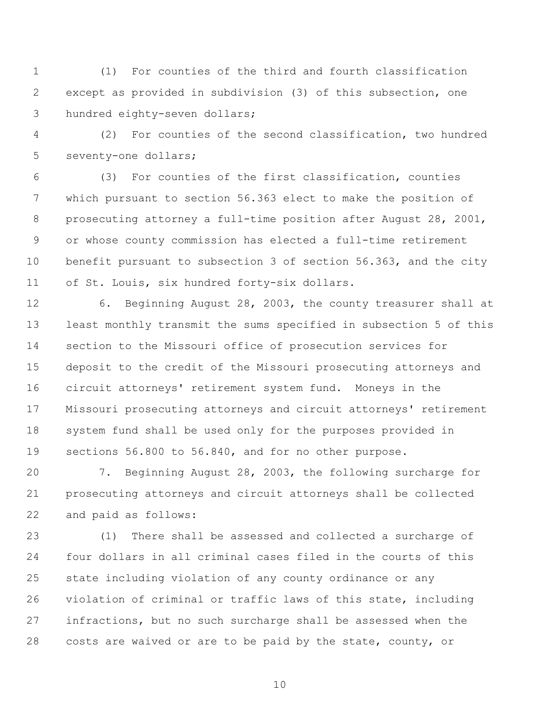(1) For counties of the third and fourth classification except as provided in subdivision (3) of this subsection, one hundred eighty-seven dollars;

 (2) For counties of the second classification, two hundred seventy-one dollars;

 (3) For counties of the first classification, counties which pursuant to section 56.363 elect to make the position of prosecuting attorney a full-time position after August 28, 2001, or whose county commission has elected a full-time retirement benefit pursuant to subsection 3 of section 56.363, and the city of St. Louis, six hundred forty-six dollars.

 6. Beginning August 28, 2003, the county treasurer shall at least monthly transmit the sums specified in subsection 5 of this section to the Missouri office of prosecution services for deposit to the credit of the Missouri prosecuting attorneys and circuit attorneys' retirement system fund. Moneys in the Missouri prosecuting attorneys and circuit attorneys' retirement system fund shall be used only for the purposes provided in sections 56.800 to 56.840, and for no other purpose.

 7. Beginning August 28, 2003, the following surcharge for prosecuting attorneys and circuit attorneys shall be collected and paid as follows:

 (1) There shall be assessed and collected a surcharge of four dollars in all criminal cases filed in the courts of this state including violation of any county ordinance or any violation of criminal or traffic laws of this state, including infractions, but no such surcharge shall be assessed when the costs are waived or are to be paid by the state, county, or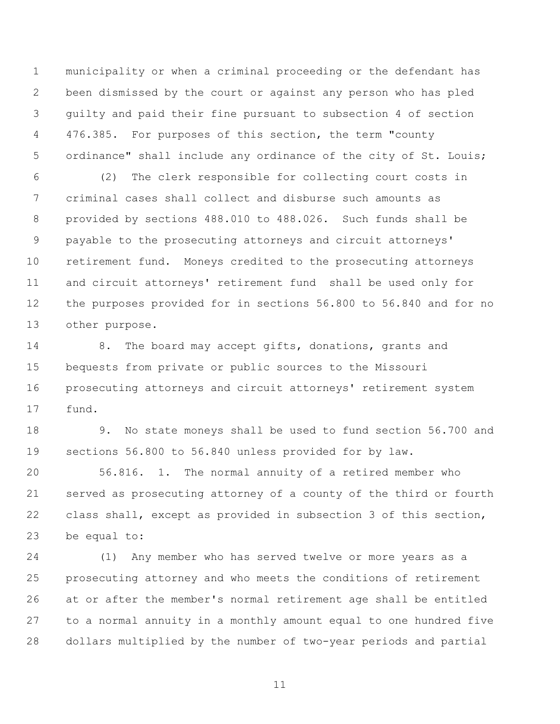municipality or when a criminal proceeding or the defendant has been dismissed by the court or against any person who has pled guilty and paid their fine pursuant to subsection 4 of section 476.385. For purposes of this section, the term "county 5 ordinance" shall include any ordinance of the city of St. Louis;

 (2) The clerk responsible for collecting court costs in criminal cases shall collect and disburse such amounts as provided by sections 488.010 to 488.026. Such funds shall be payable to the prosecuting attorneys and circuit attorneys' retirement fund. Moneys credited to the prosecuting attorneys and circuit attorneys' retirement fund shall be used only for the purposes provided for in sections 56.800 to 56.840 and for no other purpose.

14 8. The board may accept gifts, donations, grants and bequests from private or public sources to the Missouri prosecuting attorneys and circuit attorneys' retirement system fund.

 9. No state moneys shall be used to fund section 56.700 and sections 56.800 to 56.840 unless provided for by law.

 56.816. 1. The normal annuity of a retired member who served as prosecuting attorney of a county of the third or fourth class shall, except as provided in subsection 3 of this section, be equal to:

 (1) Any member who has served twelve or more years as a prosecuting attorney and who meets the conditions of retirement at or after the member's normal retirement age shall be entitled to a normal annuity in a monthly amount equal to one hundred five dollars multiplied by the number of two-year periods and partial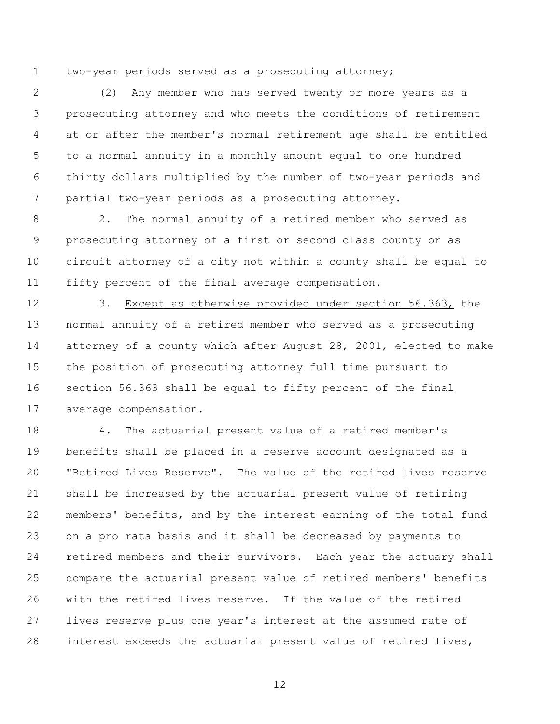two-year periods served as a prosecuting attorney;

 (2) Any member who has served twenty or more years as a prosecuting attorney and who meets the conditions of retirement at or after the member's normal retirement age shall be entitled to a normal annuity in a monthly amount equal to one hundred thirty dollars multiplied by the number of two-year periods and partial two-year periods as a prosecuting attorney.

 2. The normal annuity of a retired member who served as prosecuting attorney of a first or second class county or as circuit attorney of a city not within a county shall be equal to fifty percent of the final average compensation.

 3. Except as otherwise provided under section 56.363, the normal annuity of a retired member who served as a prosecuting attorney of a county which after August 28, 2001, elected to make the position of prosecuting attorney full time pursuant to section 56.363 shall be equal to fifty percent of the final average compensation.

 4. The actuarial present value of a retired member's benefits shall be placed in a reserve account designated as a "Retired Lives Reserve". The value of the retired lives reserve shall be increased by the actuarial present value of retiring members' benefits, and by the interest earning of the total fund on a pro rata basis and it shall be decreased by payments to retired members and their survivors. Each year the actuary shall compare the actuarial present value of retired members' benefits with the retired lives reserve. If the value of the retired lives reserve plus one year's interest at the assumed rate of interest exceeds the actuarial present value of retired lives,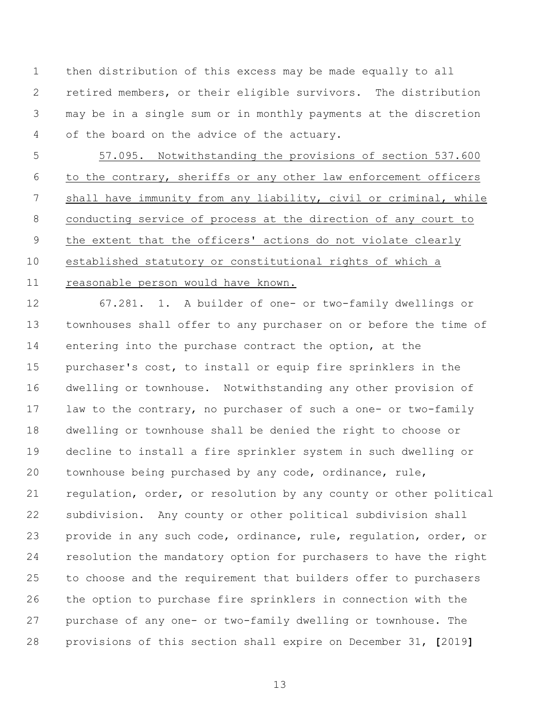then distribution of this excess may be made equally to all retired members, or their eligible survivors. The distribution may be in a single sum or in monthly payments at the discretion of the board on the advice of the actuary.

 57.095. Notwithstanding the provisions of section 537.600 to the contrary, sheriffs or any other law enforcement officers shall have immunity from any liability, civil or criminal, while conducting service of process at the direction of any court to the extent that the officers' actions do not violate clearly established statutory or constitutional rights of which a reasonable person would have known.

 67.281. 1. A builder of one- or two-family dwellings or townhouses shall offer to any purchaser on or before the time of entering into the purchase contract the option, at the purchaser's cost, to install or equip fire sprinklers in the dwelling or townhouse. Notwithstanding any other provision of law to the contrary, no purchaser of such a one- or two-family dwelling or townhouse shall be denied the right to choose or decline to install a fire sprinkler system in such dwelling or townhouse being purchased by any code, ordinance, rule, regulation, order, or resolution by any county or other political subdivision. Any county or other political subdivision shall provide in any such code, ordinance, rule, regulation, order, or resolution the mandatory option for purchasers to have the right to choose and the requirement that builders offer to purchasers the option to purchase fire sprinklers in connection with the purchase of any one- or two-family dwelling or townhouse. The provisions of this section shall expire on December 31, **[**2019**]**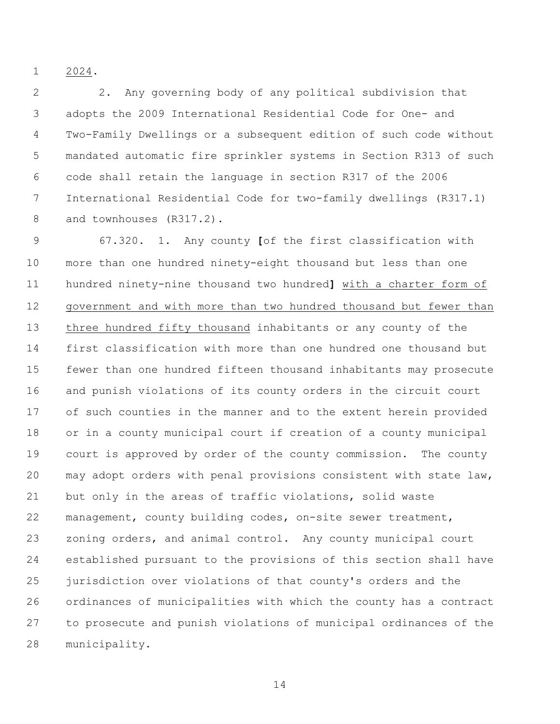2024.

 2. Any governing body of any political subdivision that adopts the 2009 International Residential Code for One- and Two-Family Dwellings or a subsequent edition of such code without mandated automatic fire sprinkler systems in Section R313 of such code shall retain the language in section R317 of the 2006 International Residential Code for two-family dwellings (R317.1) and townhouses (R317.2).

 67.320. 1. Any county **[**of the first classification with more than one hundred ninety-eight thousand but less than one hundred ninety-nine thousand two hundred**]** with a charter form of government and with more than two hundred thousand but fewer than three hundred fifty thousand inhabitants or any county of the first classification with more than one hundred one thousand but fewer than one hundred fifteen thousand inhabitants may prosecute and punish violations of its county orders in the circuit court of such counties in the manner and to the extent herein provided or in a county municipal court if creation of a county municipal court is approved by order of the county commission. The county may adopt orders with penal provisions consistent with state law, but only in the areas of traffic violations, solid waste management, county building codes, on-site sewer treatment, zoning orders, and animal control. Any county municipal court established pursuant to the provisions of this section shall have jurisdiction over violations of that county's orders and the ordinances of municipalities with which the county has a contract to prosecute and punish violations of municipal ordinances of the municipality.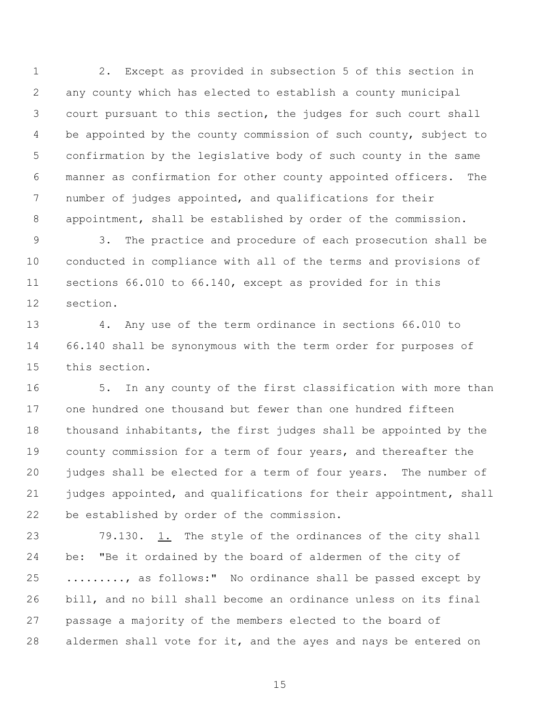2. Except as provided in subsection 5 of this section in any county which has elected to establish a county municipal court pursuant to this section, the judges for such court shall 4 be appointed by the county commission of such county, subject to confirmation by the legislative body of such county in the same manner as confirmation for other county appointed officers. The number of judges appointed, and qualifications for their appointment, shall be established by order of the commission.

 3. The practice and procedure of each prosecution shall be conducted in compliance with all of the terms and provisions of sections 66.010 to 66.140, except as provided for in this section.

 4. Any use of the term ordinance in sections 66.010 to 66.140 shall be synonymous with the term order for purposes of this section.

 5. In any county of the first classification with more than one hundred one thousand but fewer than one hundred fifteen thousand inhabitants, the first judges shall be appointed by the county commission for a term of four years, and thereafter the judges shall be elected for a term of four years. The number of 21 judges appointed, and qualifications for their appointment, shall be established by order of the commission.

 79.130. 1. The style of the ordinances of the city shall be: "Be it ordained by the board of aldermen of the city of ........., as follows:" No ordinance shall be passed except by bill, and no bill shall become an ordinance unless on its final passage a majority of the members elected to the board of aldermen shall vote for it, and the ayes and nays be entered on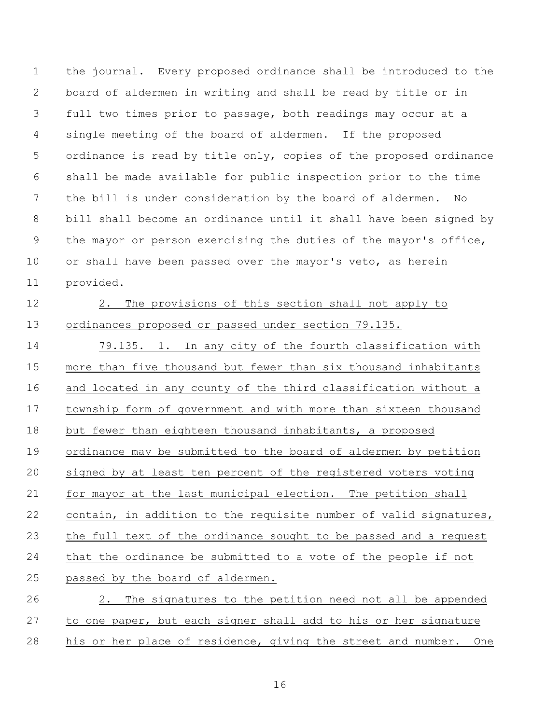the journal. Every proposed ordinance shall be introduced to the board of aldermen in writing and shall be read by title or in full two times prior to passage, both readings may occur at a single meeting of the board of aldermen. If the proposed ordinance is read by title only, copies of the proposed ordinance shall be made available for public inspection prior to the time the bill is under consideration by the board of aldermen. No bill shall become an ordinance until it shall have been signed by the mayor or person exercising the duties of the mayor's office, 10 or shall have been passed over the mayor's veto, as herein provided.

# 2. The provisions of this section shall not apply to

ordinances proposed or passed under section 79.135.

 79.135. 1. In any city of the fourth classification with more than five thousand but fewer than six thousand inhabitants and located in any county of the third classification without a township form of government and with more than sixteen thousand but fewer than eighteen thousand inhabitants, a proposed ordinance may be submitted to the board of aldermen by petition signed by at least ten percent of the registered voters voting for mayor at the last municipal election. The petition shall contain, in addition to the requisite number of valid signatures, the full text of the ordinance sought to be passed and a request that the ordinance be submitted to a vote of the people if not passed by the board of aldermen. 2. The signatures to the petition need not all be appended

to one paper, but each signer shall add to his or her signature

his or her place of residence, giving the street and number. One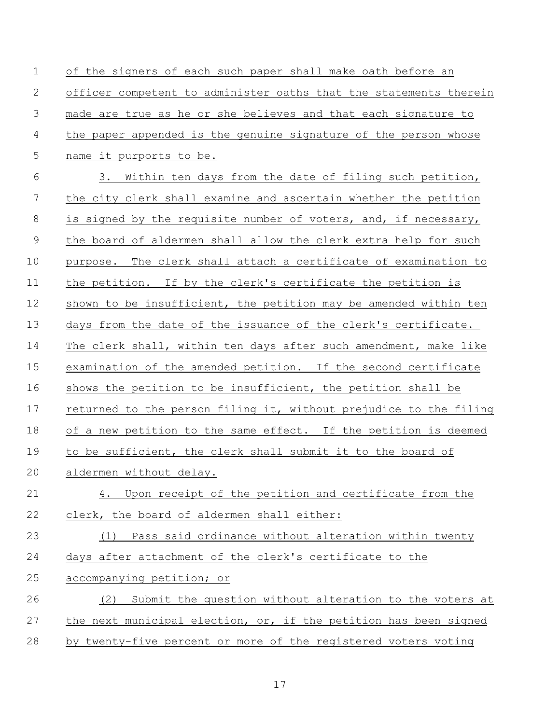of the signers of each such paper shall make oath before an officer competent to administer oaths that the statements therein made are true as he or she believes and that each signature to the paper appended is the genuine signature of the person whose name it purports to be. 3. Within ten days from the date of filing such petition, the city clerk shall examine and ascertain whether the petition is signed by the requisite number of voters, and, if necessary, the board of aldermen shall allow the clerk extra help for such purpose. The clerk shall attach a certificate of examination to 11 the petition. If by the clerk's certificate the petition is 12 shown to be insufficient, the petition may be amended within ten days from the date of the issuance of the clerk's certificate. The clerk shall, within ten days after such amendment, make like examination of the amended petition. If the second certificate shows the petition to be insufficient, the petition shall be returned to the person filing it, without prejudice to the filing 18 of a new petition to the same effect. If the petition is deemed to be sufficient, the clerk shall submit it to the board of aldermen without delay. 4. Upon receipt of the petition and certificate from the clerk, the board of aldermen shall either: (1) Pass said ordinance without alteration within twenty days after attachment of the clerk's certificate to the accompanying petition; or (2) Submit the question without alteration to the voters at 27 the next municipal election, or, if the petition has been signed by twenty-five percent or more of the registered voters voting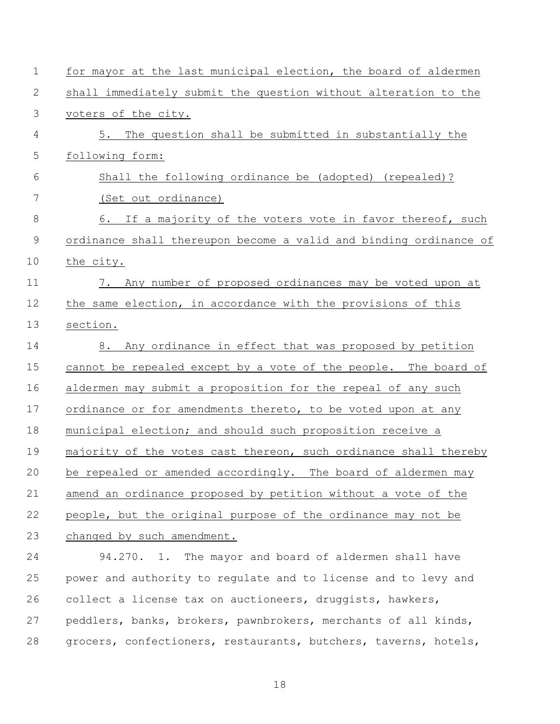| $\mathbf 1$   | for mayor at the last municipal election, the board of aldermen   |
|---------------|-------------------------------------------------------------------|
| $\mathbf{2}$  | shall immediately submit the question without alteration to the   |
| 3             | voters of the city.                                               |
| 4             | The question shall be submitted in substantially the<br>5.        |
| 5             | following form:                                                   |
| 6             | Shall the following ordinance be (adopted) (repealed)?            |
| 7             | (Set out ordinance)                                               |
| $8\,$         | 6. If a majority of the voters vote in favor thereof, such        |
| $\mathcal{G}$ | ordinance shall thereupon become a valid and binding ordinance of |
| 10            | the city.                                                         |
| 11            | 7. Any number of proposed ordinances may be voted upon at         |
| 12            | the same election, in accordance with the provisions of this      |
| 13            | section.                                                          |
| 14            | 8. Any ordinance in effect that was proposed by petition          |
| 15            | cannot be repealed except by a vote of the people. The board of   |
| 16            | aldermen may submit a proposition for the repeal of any such      |
| 17            | ordinance or for amendments thereto, to be voted upon at any      |
| 18            | municipal election; and should such proposition receive a         |
| 19            | majority of the votes cast thereon, such ordinance shall thereby  |
| 20            | be repealed or amended accordingly. The board of aldermen may     |
| 21            | amend an ordinance proposed by petition without a vote of the     |
| 22            | people, but the original purpose of the ordinance may not be      |
| 23            | changed by such amendment.                                        |
| 24            | 94.270. 1. The mayor and board of aldermen shall have             |
| 25            | power and authority to regulate and to license and to levy and    |
| 26            | collect a license tax on auctioneers, druggists, hawkers,         |
| 27            | peddlers, banks, brokers, pawnbrokers, merchants of all kinds,    |
| 28            | grocers, confectioners, restaurants, butchers, taverns, hotels,   |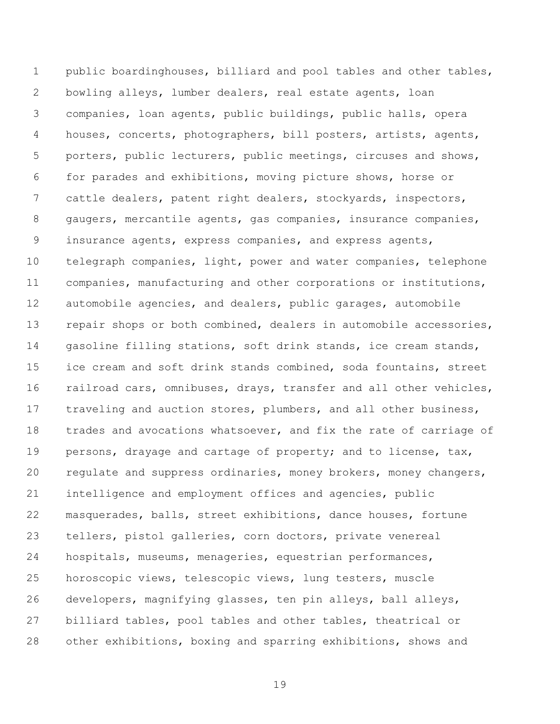public boardinghouses, billiard and pool tables and other tables, bowling alleys, lumber dealers, real estate agents, loan companies, loan agents, public buildings, public halls, opera houses, concerts, photographers, bill posters, artists, agents, porters, public lecturers, public meetings, circuses and shows, for parades and exhibitions, moving picture shows, horse or cattle dealers, patent right dealers, stockyards, inspectors, gaugers, mercantile agents, gas companies, insurance companies, insurance agents, express companies, and express agents, telegraph companies, light, power and water companies, telephone companies, manufacturing and other corporations or institutions, automobile agencies, and dealers, public garages, automobile 13 repair shops or both combined, dealers in automobile accessories, gasoline filling stations, soft drink stands, ice cream stands, ice cream and soft drink stands combined, soda fountains, street railroad cars, omnibuses, drays, transfer and all other vehicles, traveling and auction stores, plumbers, and all other business, trades and avocations whatsoever, and fix the rate of carriage of 19 persons, drayage and cartage of property; and to license, tax, regulate and suppress ordinaries, money brokers, money changers, intelligence and employment offices and agencies, public masquerades, balls, street exhibitions, dance houses, fortune tellers, pistol galleries, corn doctors, private venereal hospitals, museums, menageries, equestrian performances, horoscopic views, telescopic views, lung testers, muscle developers, magnifying glasses, ten pin alleys, ball alleys, billiard tables, pool tables and other tables, theatrical or other exhibitions, boxing and sparring exhibitions, shows and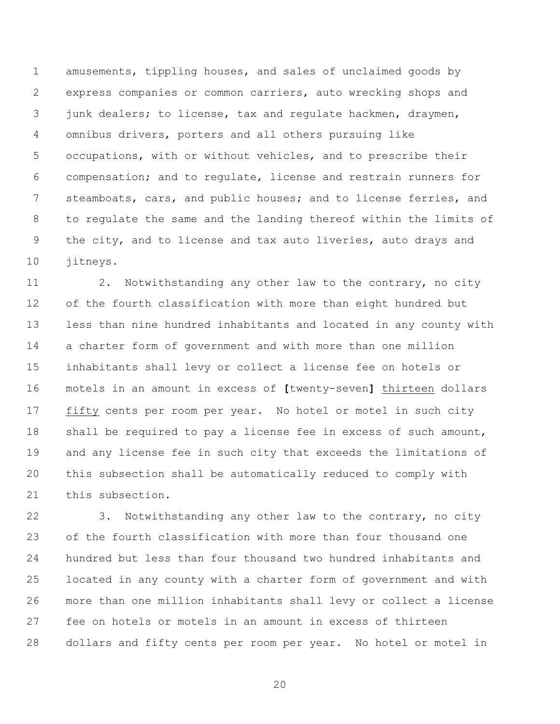amusements, tippling houses, and sales of unclaimed goods by express companies or common carriers, auto wrecking shops and 3 junk dealers; to license, tax and regulate hackmen, draymen, omnibus drivers, porters and all others pursuing like occupations, with or without vehicles, and to prescribe their compensation; and to regulate, license and restrain runners for steamboats, cars, and public houses; and to license ferries, and to regulate the same and the landing thereof within the limits of 9 the city, and to license and tax auto liveries, auto drays and jitneys.

 2. Notwithstanding any other law to the contrary, no city of the fourth classification with more than eight hundred but less than nine hundred inhabitants and located in any county with a charter form of government and with more than one million inhabitants shall levy or collect a license fee on hotels or motels in an amount in excess of **[**twenty-seven**]** thirteen dollars fifty cents per room per year. No hotel or motel in such city shall be required to pay a license fee in excess of such amount, and any license fee in such city that exceeds the limitations of this subsection shall be automatically reduced to comply with this subsection.

 3. Notwithstanding any other law to the contrary, no city of the fourth classification with more than four thousand one hundred but less than four thousand two hundred inhabitants and located in any county with a charter form of government and with more than one million inhabitants shall levy or collect a license fee on hotels or motels in an amount in excess of thirteen dollars and fifty cents per room per year. No hotel or motel in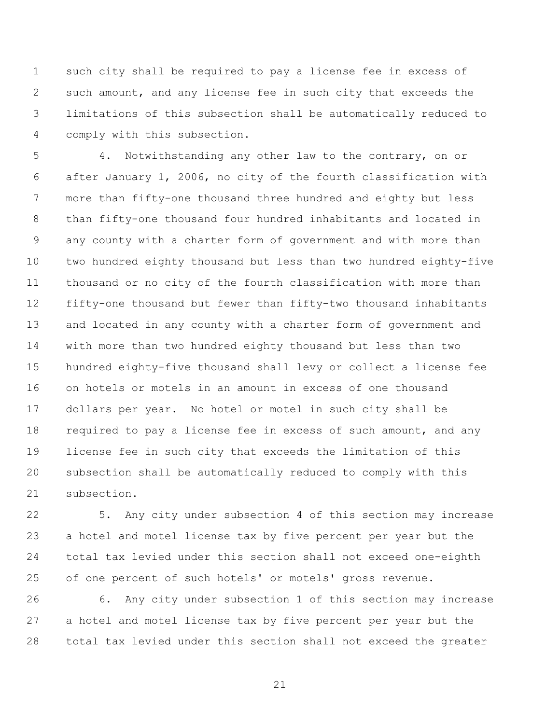such city shall be required to pay a license fee in excess of such amount, and any license fee in such city that exceeds the limitations of this subsection shall be automatically reduced to comply with this subsection.

 4. Notwithstanding any other law to the contrary, on or after January 1, 2006, no city of the fourth classification with more than fifty-one thousand three hundred and eighty but less than fifty-one thousand four hundred inhabitants and located in any county with a charter form of government and with more than two hundred eighty thousand but less than two hundred eighty-five thousand or no city of the fourth classification with more than fifty-one thousand but fewer than fifty-two thousand inhabitants and located in any county with a charter form of government and with more than two hundred eighty thousand but less than two hundred eighty-five thousand shall levy or collect a license fee on hotels or motels in an amount in excess of one thousand dollars per year. No hotel or motel in such city shall be required to pay a license fee in excess of such amount, and any license fee in such city that exceeds the limitation of this subsection shall be automatically reduced to comply with this subsection.

 5. Any city under subsection 4 of this section may increase a hotel and motel license tax by five percent per year but the total tax levied under this section shall not exceed one-eighth of one percent of such hotels' or motels' gross revenue.

 6. Any city under subsection 1 of this section may increase a hotel and motel license tax by five percent per year but the total tax levied under this section shall not exceed the greater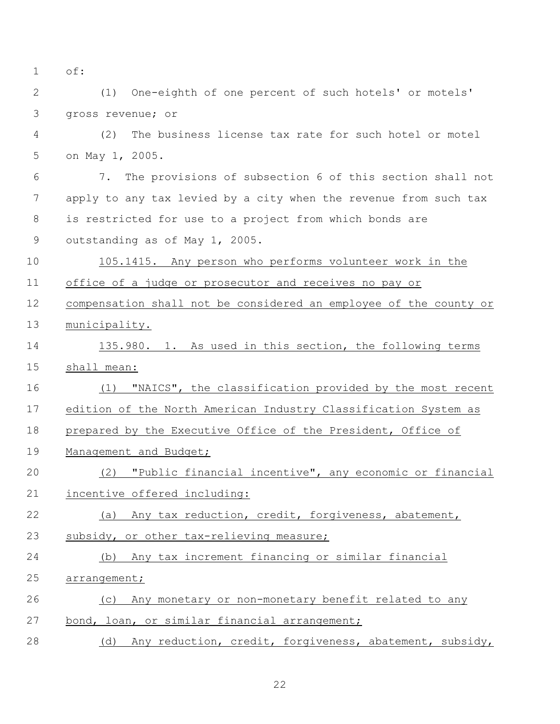of:

 (1) One-eighth of one percent of such hotels' or motels' gross revenue; or

 (2) The business license tax rate for such hotel or motel on May 1, 2005.

 7. The provisions of subsection 6 of this section shall not apply to any tax levied by a city when the revenue from such tax is restricted for use to a project from which bonds are outstanding as of May 1, 2005.

 105.1415. Any person who performs volunteer work in the office of a judge or prosecutor and receives no pay or

 compensation shall not be considered an employee of the county or municipality.

 135.980. 1. As used in this section, the following terms shall mean:

 (1) "NAICS", the classification provided by the most recent edition of the North American Industry Classification System as prepared by the Executive Office of the President, Office of 19 Management and Budget;

 (2) "Public financial incentive", any economic or financial incentive offered including:

(a) Any tax reduction, credit, forgiveness, abatement,

23 subsidy, or other tax-relieving measure;

(b) Any tax increment financing or similar financial

arrangement;

(c) Any monetary or non-monetary benefit related to any

bond, loan, or similar financial arrangement;

(d) Any reduction, credit, forgiveness, abatement, subsidy,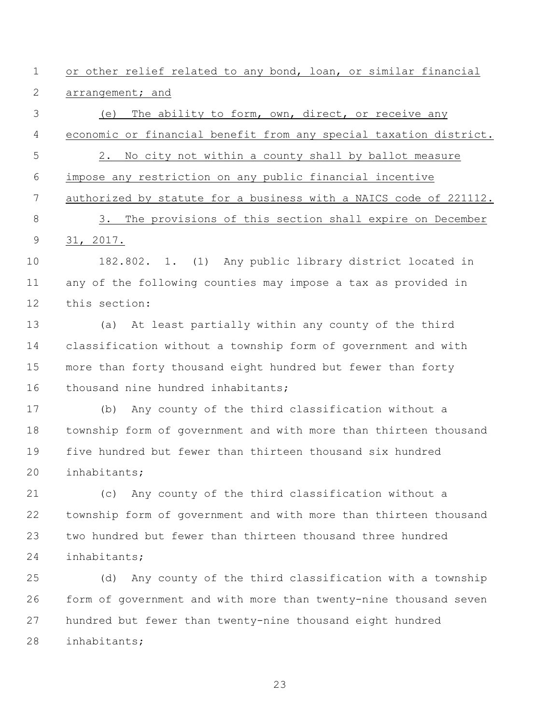or other relief related to any bond, loan, or similar financial arrangement; and

 (e) The ability to form, own, direct, or receive any economic or financial benefit from any special taxation district. 2. No city not within a county shall by ballot measure impose any restriction on any public financial incentive authorized by statute for a business with a NAICS code of 221112. 3. The provisions of this section shall expire on December 31, 2017.

 182.802. 1. (1) Any public library district located in any of the following counties may impose a tax as provided in this section:

 (a) At least partially within any county of the third classification without a township form of government and with more than forty thousand eight hundred but fewer than forty 16 thousand nine hundred inhabitants;

 (b) Any county of the third classification without a township form of government and with more than thirteen thousand five hundred but fewer than thirteen thousand six hundred inhabitants;

 (c) Any county of the third classification without a township form of government and with more than thirteen thousand two hundred but fewer than thirteen thousand three hundred inhabitants;

 (d) Any county of the third classification with a township form of government and with more than twenty-nine thousand seven hundred but fewer than twenty-nine thousand eight hundred inhabitants;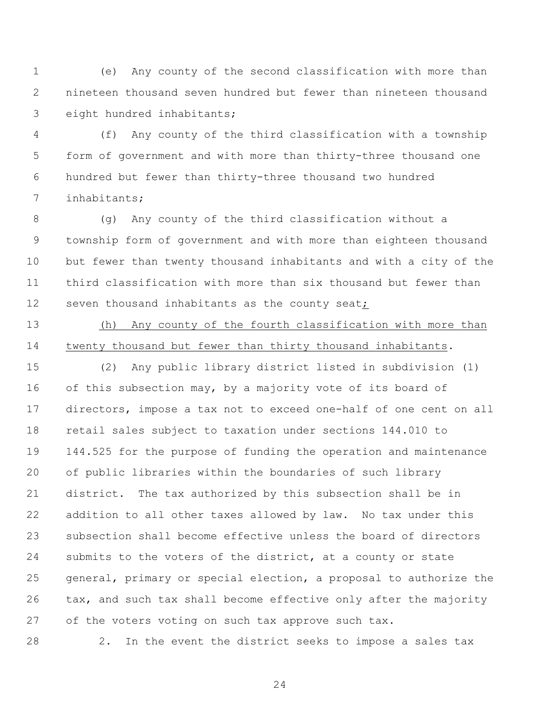(e) Any county of the second classification with more than nineteen thousand seven hundred but fewer than nineteen thousand eight hundred inhabitants;

 (f) Any county of the third classification with a township form of government and with more than thirty-three thousand one hundred but fewer than thirty-three thousand two hundred inhabitants;

 (g) Any county of the third classification without a township form of government and with more than eighteen thousand but fewer than twenty thousand inhabitants and with a city of the third classification with more than six thousand but fewer than 12 seven thousand inhabitants as the county seat;

 (h) Any county of the fourth classification with more than twenty thousand but fewer than thirty thousand inhabitants.

 (2) Any public library district listed in subdivision (1) 16 of this subsection may, by a majority vote of its board of directors, impose a tax not to exceed one-half of one cent on all retail sales subject to taxation under sections 144.010 to 144.525 for the purpose of funding the operation and maintenance of public libraries within the boundaries of such library district. The tax authorized by this subsection shall be in addition to all other taxes allowed by law. No tax under this subsection shall become effective unless the board of directors submits to the voters of the district, at a county or state general, primary or special election, a proposal to authorize the tax, and such tax shall become effective only after the majority of the voters voting on such tax approve such tax.

2. In the event the district seeks to impose a sales tax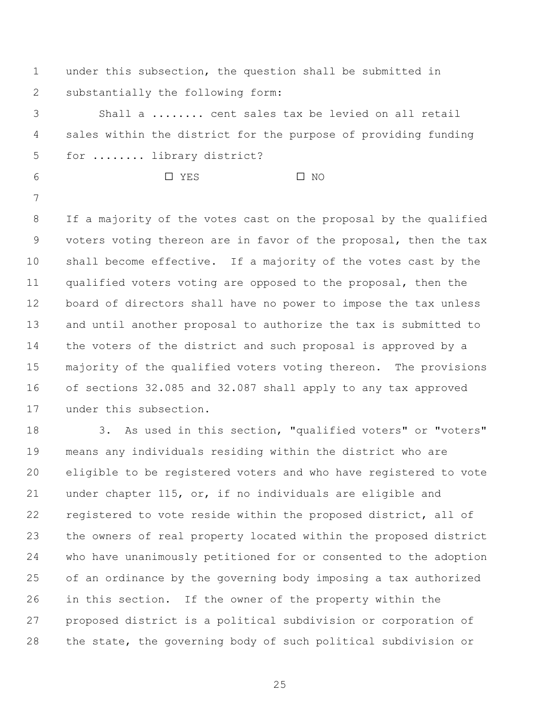under this subsection, the question shall be submitted in substantially the following form:

 Shall a ........ cent sales tax be levied on all retail sales within the district for the purpose of providing funding for ........ library district?

G YES G NO

 If a majority of the votes cast on the proposal by the qualified voters voting thereon are in favor of the proposal, then the tax shall become effective. If a majority of the votes cast by the qualified voters voting are opposed to the proposal, then the board of directors shall have no power to impose the tax unless and until another proposal to authorize the tax is submitted to the voters of the district and such proposal is approved by a majority of the qualified voters voting thereon. The provisions of sections 32.085 and 32.087 shall apply to any tax approved under this subsection.

 3. As used in this section, "qualified voters" or "voters" means any individuals residing within the district who are eligible to be registered voters and who have registered to vote under chapter 115, or, if no individuals are eligible and registered to vote reside within the proposed district, all of the owners of real property located within the proposed district who have unanimously petitioned for or consented to the adoption of an ordinance by the governing body imposing a tax authorized in this section. If the owner of the property within the proposed district is a political subdivision or corporation of the state, the governing body of such political subdivision or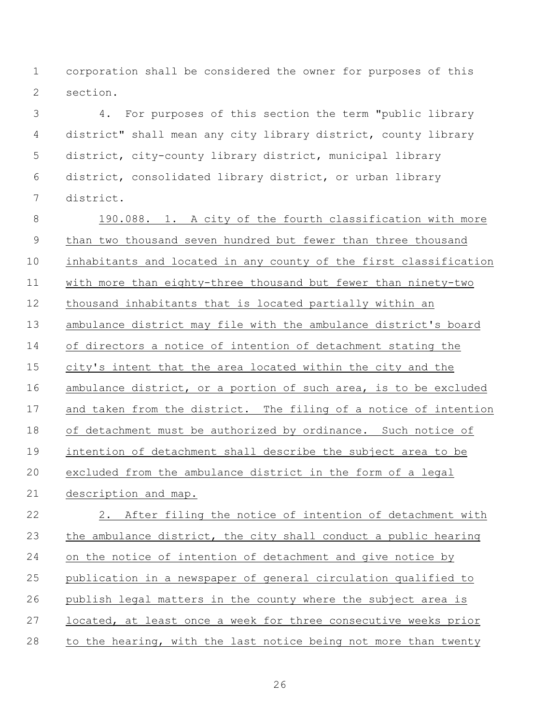corporation shall be considered the owner for purposes of this section.

 4. For purposes of this section the term "public library district" shall mean any city library district, county library district, city-county library district, municipal library district, consolidated library district, or urban library district.

 190.088. 1. A city of the fourth classification with more than two thousand seven hundred but fewer than three thousand inhabitants and located in any county of the first classification with more than eighty-three thousand but fewer than ninety-two thousand inhabitants that is located partially within an ambulance district may file with the ambulance district's board of directors a notice of intention of detachment stating the city's intent that the area located within the city and the ambulance district, or a portion of such area, is to be excluded and taken from the district. The filing of a notice of intention of detachment must be authorized by ordinance. Such notice of intention of detachment shall describe the subject area to be excluded from the ambulance district in the form of a legal description and map. 2. After filing the notice of intention of detachment with the ambulance district, the city shall conduct a public hearing on the notice of intention of detachment and give notice by publication in a newspaper of general circulation qualified to

 publish legal matters in the county where the subject area is located, at least once a week for three consecutive weeks prior to the hearing, with the last notice being not more than twenty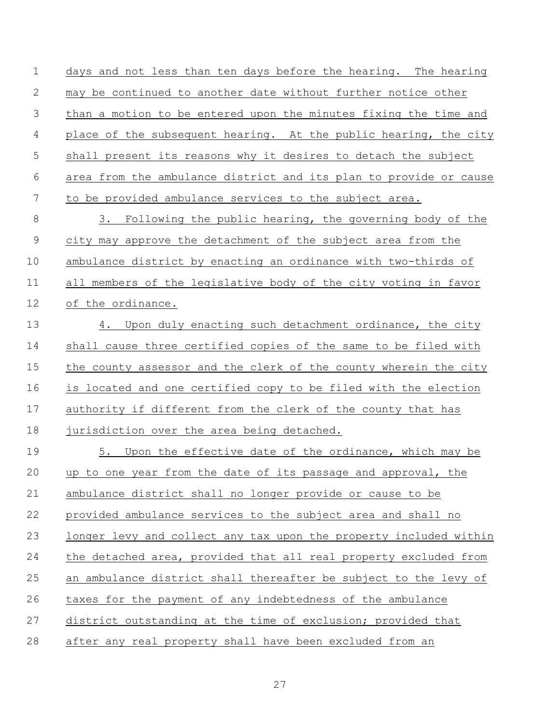days and not less than ten days before the hearing. The hearing may be continued to another date without further notice other than a motion to be entered upon the minutes fixing the time and 4 place of the subsequent hearing. At the public hearing, the city shall present its reasons why it desires to detach the subject area from the ambulance district and its plan to provide or cause to be provided ambulance services to the subject area.

 3. Following the public hearing, the governing body of the city may approve the detachment of the subject area from the ambulance district by enacting an ordinance with two-thirds of all members of the legislative body of the city voting in favor of the ordinance.

13 4. Upon duly enacting such detachment ordinance, the city shall cause three certified copies of the same to be filed with the county assessor and the clerk of the county wherein the city is located and one certified copy to be filed with the election authority if different from the clerk of the county that has 18 jurisdiction over the area being detached.

 5. Upon the effective date of the ordinance, which may be up to one year from the date of its passage and approval, the ambulance district shall no longer provide or cause to be provided ambulance services to the subject area and shall no longer levy and collect any tax upon the property included within the detached area, provided that all real property excluded from an ambulance district shall thereafter be subject to the levy of taxes for the payment of any indebtedness of the ambulance district outstanding at the time of exclusion; provided that after any real property shall have been excluded from an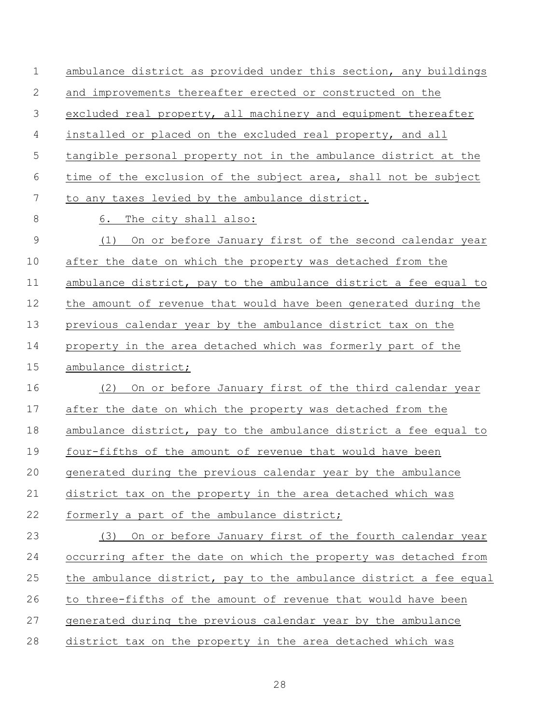ambulance district as provided under this section, any buildings and improvements thereafter erected or constructed on the excluded real property, all machinery and equipment thereafter 4 installed or placed on the excluded real property, and all tangible personal property not in the ambulance district at the time of the exclusion of the subject area, shall not be subject to any taxes levied by the ambulance district. 8 6. The city shall also: (1) On or before January first of the second calendar year after the date on which the property was detached from the 11 ambulance district, pay to the ambulance district a fee equal to the amount of revenue that would have been generated during the previous calendar year by the ambulance district tax on the property in the area detached which was formerly part of the ambulance district; (2) On or before January first of the third calendar year after the date on which the property was detached from the ambulance district, pay to the ambulance district a fee equal to four-fifths of the amount of revenue that would have been generated during the previous calendar year by the ambulance district tax on the property in the area detached which was 22 formerly a part of the ambulance district; (3) On or before January first of the fourth calendar year occurring after the date on which the property was detached from 25 the ambulance district, pay to the ambulance district a fee equal to three-fifths of the amount of revenue that would have been generated during the previous calendar year by the ambulance district tax on the property in the area detached which was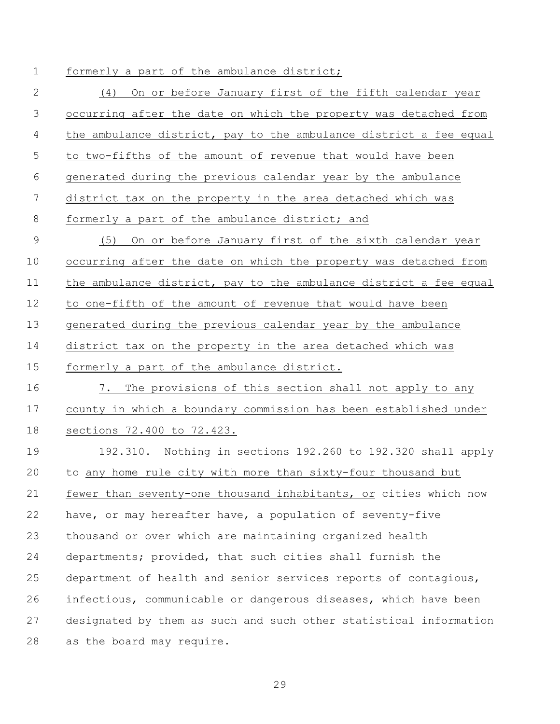# 1 formerly a part of the ambulance district;

 (4) On or before January first of the fifth calendar year occurring after the date on which the property was detached from 4 the ambulance district, pay to the ambulance district a fee equal to two-fifths of the amount of revenue that would have been generated during the previous calendar year by the ambulance district tax on the property in the area detached which was 8 formerly a part of the ambulance district; and (5) On or before January first of the sixth calendar year occurring after the date on which the property was detached from the ambulance district, pay to the ambulance district a fee equal to one-fifth of the amount of revenue that would have been generated during the previous calendar year by the ambulance district tax on the property in the area detached which was formerly a part of the ambulance district. 7. The provisions of this section shall not apply to any county in which a boundary commission has been established under sections 72.400 to 72.423. 192.310. Nothing in sections 192.260 to 192.320 shall apply to any home rule city with more than sixty-four thousand but fewer than seventy-one thousand inhabitants, or cities which now have, or may hereafter have, a population of seventy-five thousand or over which are maintaining organized health departments; provided, that such cities shall furnish the department of health and senior services reports of contagious, infectious, communicable or dangerous diseases, which have been designated by them as such and such other statistical information as the board may require.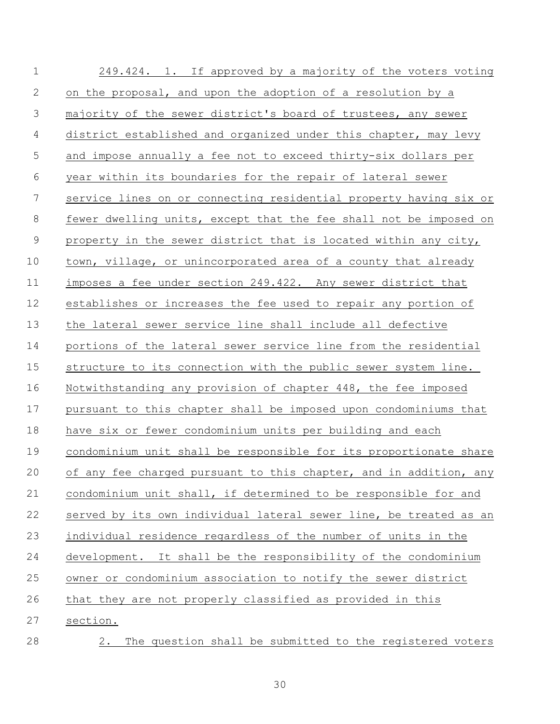| $\mathbf 1$    | 249.424. 1. If approved by a majority of the voters voting        |
|----------------|-------------------------------------------------------------------|
| 2              | on the proposal, and upon the adoption of a resolution by a       |
| $\mathfrak{Z}$ | majority of the sewer district's board of trustees, any sewer     |
| 4              | district established and organized under this chapter, may levy   |
| 5              | and impose annually a fee not to exceed thirty-six dollars per    |
| 6              | year within its boundaries for the repair of lateral sewer        |
| 7              | service lines on or connecting residential property having six or |
| 8              | fewer dwelling units, except that the fee shall not be imposed on |
| $\mathsf 9$    | property in the sewer district that is located within any city,   |
| 10             | town, village, or unincorporated area of a county that already    |
| 11             | imposes a fee under section 249.422. Any sewer district that      |
| 12             | establishes or increases the fee used to repair any portion of    |
| 13             | the lateral sewer service line shall include all defective        |
| 14             | portions of the lateral sewer service line from the residential   |
| 15             | structure to its connection with the public sewer system line.    |
| 16             | Notwithstanding any provision of chapter 448, the fee imposed     |
| 17             | pursuant to this chapter shall be imposed upon condominiums that  |
| 18             | have six or fewer condominium units per building and each         |
| 19             | condominium unit shall be responsible for its proportionate share |
| 20             | of any fee charged pursuant to this chapter, and in addition, any |
| 21             | condominium unit shall, if determined to be responsible for and   |
| 22             | served by its own individual lateral sewer line, be treated as an |
| 23             | individual residence regardless of the number of units in the     |
| 24             | development. It shall be the responsibility of the condominium    |
| 25             | owner or condominium association to notify the sewer district     |
| 26             | that they are not properly classified as provided in this         |
| 27             | section.                                                          |
| 28             | The question shall be submitted to the registered voters<br>2.    |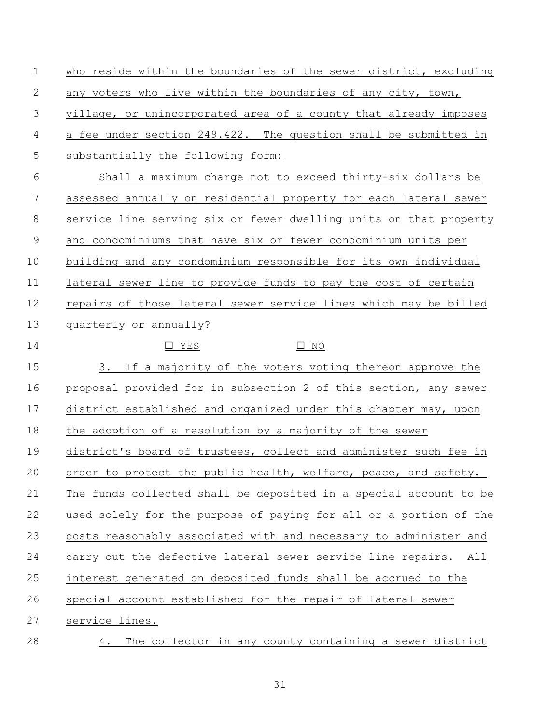| $\mathbf 1$    | who reside within the boundaries of the sewer district, excluding |
|----------------|-------------------------------------------------------------------|
| 2              | any voters who live within the boundaries of any city, town,      |
| 3              | village, or unincorporated area of a county that already imposes  |
| $\overline{4}$ | a fee under section 249.422. The question shall be submitted in   |
| 5              | substantially the following form:                                 |
| 6              | Shall a maximum charge not to exceed thirty-six dollars be        |
| 7              | assessed annually on residential property for each lateral sewer  |
| 8              | service line serving six or fewer dwelling units on that property |
| $\mathsf 9$    | and condominiums that have six or fewer condominium units per     |
| 10             | building and any condominium responsible for its own individual   |
| 11             | lateral sewer line to provide funds to pay the cost of certain    |
| 12             | repairs of those lateral sewer service lines which may be billed  |
| 13             | quarterly or annually?                                            |
| 14             | $\square$ NO<br>$\Box$ YES                                        |
| 15             | 3. If a majority of the voters voting thereon approve the         |
| 16             | proposal provided for in subsection 2 of this section, any sewer  |
| 17             | district established and organized under this chapter may, upon   |
| 18             | the adoption of a resolution by a majority of the sewer           |
| 19             | district's board of trustees, collect and administer such fee in  |
| 20             | order to protect the public health, welfare, peace, and safety.   |
| 21             | The funds collected shall be deposited in a special account to be |
| 22             | used solely for the purpose of paying for all or a portion of the |
| 23             | costs reasonably associated with and necessary to administer and  |
| 24             | carry out the defective lateral sewer service line repairs. All   |
| 25             | interest generated on deposited funds shall be accrued to the     |
| 26             | special account established for the repair of lateral sewer       |
| 27             | service lines.                                                    |
| 28             | The collector in any county containing a sewer district<br>4.     |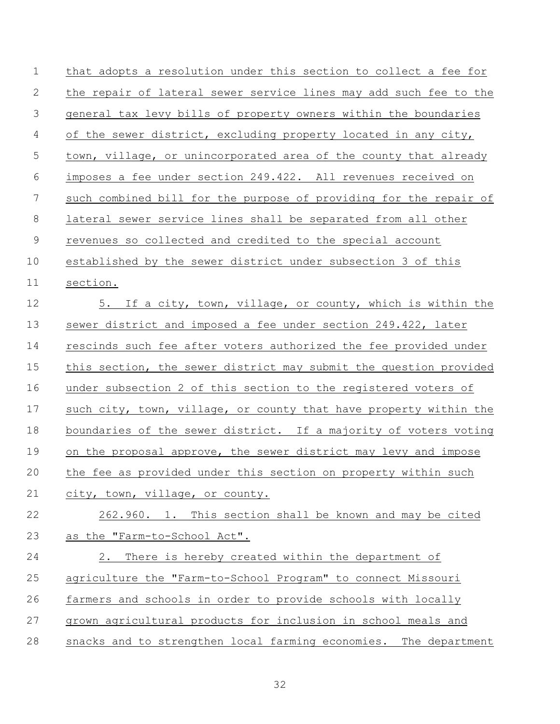| $\mathbf 1$ | that adopts a resolution under this section to collect a fee for  |
|-------------|-------------------------------------------------------------------|
| 2           | the repair of lateral sewer service lines may add such fee to the |
| 3           | general tax levy bills of property owners within the boundaries   |
| 4           | of the sewer district, excluding property located in any city,    |
| 5           | town, village, or unincorporated area of the county that already  |
| 6           | imposes a fee under section 249.422. All revenues received on     |
| 7           | such combined bill for the purpose of providing for the repair of |
| $8\,$       | lateral sewer service lines shall be separated from all other     |
| $\mathsf 9$ | revenues so collected and credited to the special account         |
| 10          | established by the sewer district under subsection 3 of this      |
| 11          | section.                                                          |
| 12          | 5. If a city, town, village, or county, which is within the       |
| 13          | sewer district and imposed a fee under section 249.422, later     |
| 14          | rescinds such fee after voters authorized the fee provided under  |
| 15          | this section, the sewer district may submit the question provided |
| 16          | under subsection 2 of this section to the registered voters of    |
| 17          | such city, town, village, or county that have property within the |
| 18          | boundaries of the sewer district. If a majority of voters voting  |
| 19          | on the proposal approve, the sewer district may levy and impose   |
| 20          | the fee as provided under this section on property within such    |
| 21          | city, town, village, or county.                                   |
| 22          | 262.960. 1. This section shall be known and may be cited          |
| 23          | as the "Farm-to-School Act".                                      |
| 24          | 2.<br>There is hereby created within the department of            |
| 25          | agriculture the "Farm-to-School Program" to connect Missouri      |
| 26          | farmers and schools in order to provide schools with locally      |
| 27          | grown agricultural products for inclusion in school meals and     |
| 28          | snacks and to strengthen local farming economies. The department  |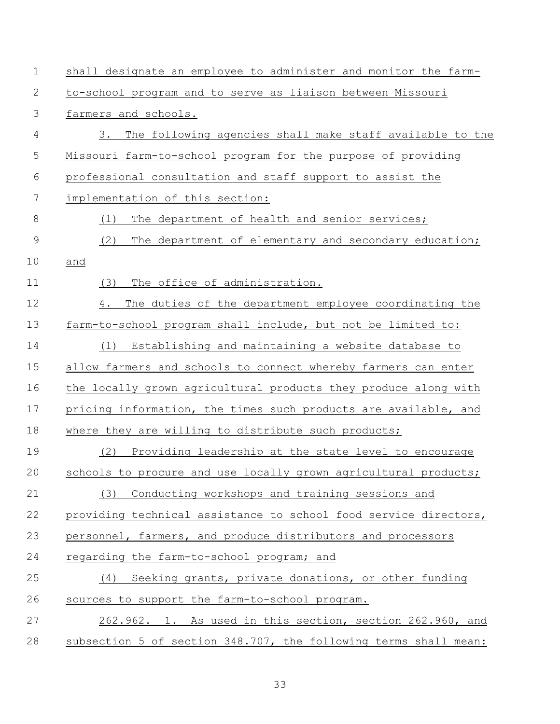| $\mathbf 1$  | shall designate an employee to administer and monitor the farm-  |
|--------------|------------------------------------------------------------------|
| 2            | to-school program and to serve as liaison between Missouri       |
| 3            | farmers and schools.                                             |
| 4            | 3.<br>The following agencies shall make staff available to the   |
| 5            | Missouri farm-to-school program for the purpose of providing     |
| 6            | professional consultation and staff support to assist the        |
| 7            | implementation of this section:                                  |
| 8            | The department of health and senior services;<br>(1)             |
| $\mathsf{9}$ | (2)<br>The department of elementary and secondary education;     |
| 10           | and                                                              |
| 11           | The office of administration.<br>(3)                             |
| 12           | The duties of the department employee coordinating the<br>4.     |
| 13           | farm-to-school program shall include, but not be limited to:     |
| 14           | Establishing and maintaining a website database to<br>(1)        |
| 15           | allow farmers and schools to connect whereby farmers can enter   |
| 16           | the locally grown agricultural products they produce along with  |
| 17           | pricing information, the times such products are available, and  |
| 18           | where they are willing to distribute such products;              |
| 19           | (2)<br>Providing leadership at the state level to encourage      |
| 20           | schools to procure and use locally grown agricultural products;  |
| 21           | Conducting workshops and training sessions and<br>(3)            |
| 22           | providing technical assistance to school food service directors, |
| 23           | personnel, farmers, and produce distributors and processors      |
| 24           | regarding the farm-to-school program; and                        |
| 25           | (4) Seeking grants, private donations, or other funding          |
| 26           | sources to support the farm-to-school program.                   |
| 27           | 262.962. 1. As used in this section, section 262.960, and        |
| 28           | subsection 5 of section 348.707, the following terms shall mean: |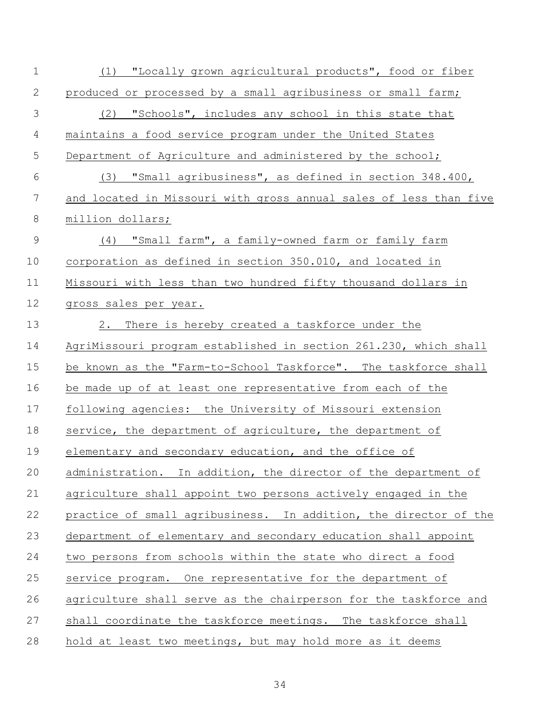| $1\,$          | (1) "Locally grown agricultural products", food or fiber          |
|----------------|-------------------------------------------------------------------|
| 2              | produced or processed by a small agribusiness or small farm;      |
| 3              | (2) "Schools", includes any school in this state that             |
| $\overline{4}$ | maintains a food service program under the United States          |
| 5              | Department of Agriculture and administered by the school;         |
| 6              | (3) "Small agribusiness", as defined in section 348.400,          |
| 7              | and located in Missouri with gross annual sales of less than five |
| $\,8\,$        | million dollars;                                                  |
| $\mathsf 9$    | (4) "Small farm", a family-owned farm or family farm              |
| 10             | corporation as defined in section 350.010, and located in         |
| 11             | Missouri with less than two hundred fifty thousand dollars in     |
| 12             | gross sales per year.                                             |
| 13             | 2.<br>There is hereby created a taskforce under the               |
| 14             | AgriMissouri program established in section 261.230, which shall  |
| 15             | be known as the "Farm-to-School Taskforce". The taskforce shall   |
| 16             | be made up of at least one representative from each of the        |
| 17             | following agencies: the University of Missouri extension          |
| 18             | service, the department of agriculture, the department of         |
| 19             | elementary and secondary education, and the office of             |
| 20             | administration. In addition, the director of the department of    |
| 21             | agriculture shall appoint two persons actively engaged in the     |
| 22             | practice of small agribusiness. In addition, the director of the  |
| 23             | department of elementary and secondary education shall appoint    |
| 24             | two persons from schools within the state who direct a food       |
| 25             | service program. One representative for the department of         |
| 26             | agriculture shall serve as the chairperson for the taskforce and  |
| 27             | shall coordinate the taskforce meetings. The taskforce shall      |
| 28             | hold at least two meetings, but may hold more as it deems         |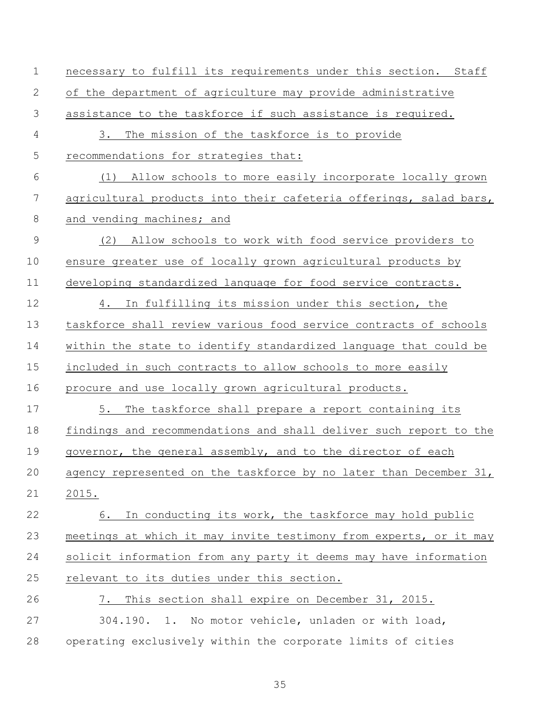| $\mathbf 1$  | necessary to fulfill its requirements under this section. Staff   |
|--------------|-------------------------------------------------------------------|
| $\mathbf{2}$ | of the department of agriculture may provide administrative       |
| 3            | assistance to the taskforce if such assistance is required.       |
| 4            | 3.<br>The mission of the taskforce is to provide                  |
| 5            | recommendations for strategies that:                              |
| 6            | (1) Allow schools to more easily incorporate locally grown        |
| 7            | agricultural products into their cafeteria offerings, salad bars, |
| 8            | and vending machines; and                                         |
| $\mathsf 9$  | Allow schools to work with food service providers to<br>(2)       |
| 10           | ensure greater use of locally grown agricultural products by      |
| 11           | developing standardized language for food service contracts.      |
| 12           | 4. In fulfilling its mission under this section, the              |
| 13           | taskforce shall review various food service contracts of schools  |
| 14           | within the state to identify standardized language that could be  |
| 15           | included in such contracts to allow schools to more easily        |
| 16           | procure and use locally grown agricultural products.              |
| 17           | 5.<br>The taskforce shall prepare a report containing its         |
| 18           | findings and recommendations and shall deliver such report to the |
| 19           | governor, the general assembly, and to the director of each       |
| 20           | agency represented on the taskforce by no later than December 31, |
| 21           | 2015.                                                             |
| 22           | In conducting its work, the taskforce may hold public<br>6.       |
| 23           | meetings at which it may invite testimony from experts, or it may |
| 24           | solicit information from any party it deems may have information  |
| 25           | relevant to its duties under this section.                        |
| 26           | This section shall expire on December 31, 2015.<br>7.             |
| 27           | 304.190. 1. No motor vehicle, unladen or with load,               |
| 28           | operating exclusively within the corporate limits of cities       |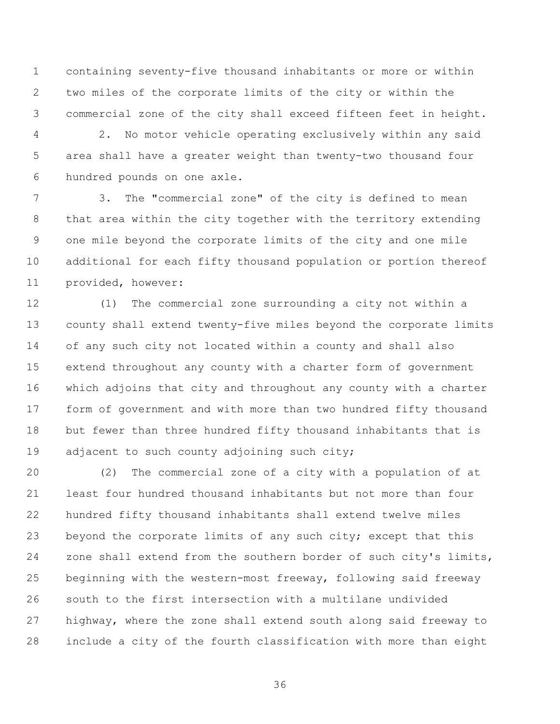containing seventy-five thousand inhabitants or more or within two miles of the corporate limits of the city or within the commercial zone of the city shall exceed fifteen feet in height.

 2. No motor vehicle operating exclusively within any said area shall have a greater weight than twenty-two thousand four hundred pounds on one axle.

 3. The "commercial zone" of the city is defined to mean that area within the city together with the territory extending one mile beyond the corporate limits of the city and one mile additional for each fifty thousand population or portion thereof provided, however:

 (1) The commercial zone surrounding a city not within a county shall extend twenty-five miles beyond the corporate limits of any such city not located within a county and shall also extend throughout any county with a charter form of government which adjoins that city and throughout any county with a charter form of government and with more than two hundred fifty thousand but fewer than three hundred fifty thousand inhabitants that is 19 adjacent to such county adjoining such city;

 (2) The commercial zone of a city with a population of at least four hundred thousand inhabitants but not more than four hundred fifty thousand inhabitants shall extend twelve miles 23 beyond the corporate limits of any such city; except that this zone shall extend from the southern border of such city's limits, beginning with the western-most freeway, following said freeway south to the first intersection with a multilane undivided highway, where the zone shall extend south along said freeway to include a city of the fourth classification with more than eight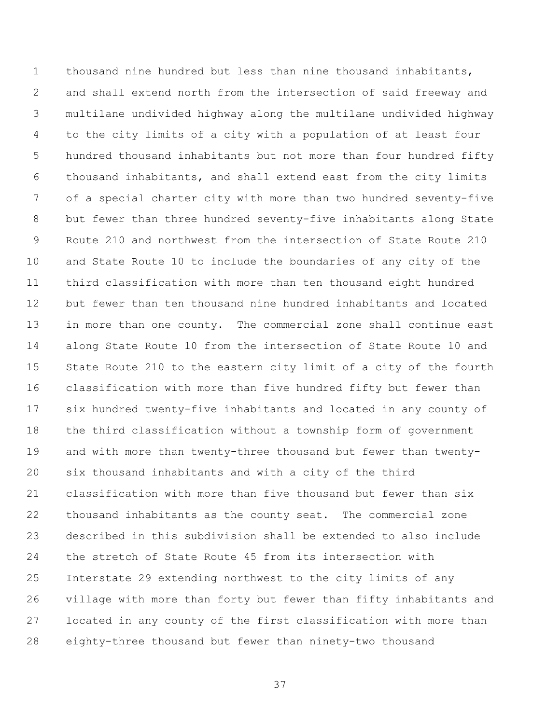thousand nine hundred but less than nine thousand inhabitants, and shall extend north from the intersection of said freeway and multilane undivided highway along the multilane undivided highway to the city limits of a city with a population of at least four hundred thousand inhabitants but not more than four hundred fifty thousand inhabitants, and shall extend east from the city limits of a special charter city with more than two hundred seventy-five but fewer than three hundred seventy-five inhabitants along State Route 210 and northwest from the intersection of State Route 210 and State Route 10 to include the boundaries of any city of the third classification with more than ten thousand eight hundred but fewer than ten thousand nine hundred inhabitants and located in more than one county. The commercial zone shall continue east along State Route 10 from the intersection of State Route 10 and State Route 210 to the eastern city limit of a city of the fourth classification with more than five hundred fifty but fewer than six hundred twenty-five inhabitants and located in any county of the third classification without a township form of government and with more than twenty-three thousand but fewer than twenty- six thousand inhabitants and with a city of the third classification with more than five thousand but fewer than six thousand inhabitants as the county seat. The commercial zone described in this subdivision shall be extended to also include the stretch of State Route 45 from its intersection with Interstate 29 extending northwest to the city limits of any village with more than forty but fewer than fifty inhabitants and located in any county of the first classification with more than eighty-three thousand but fewer than ninety-two thousand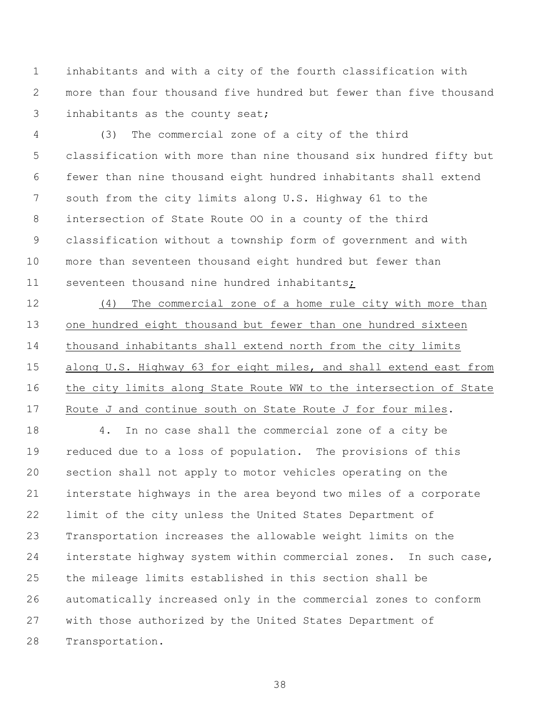inhabitants and with a city of the fourth classification with more than four thousand five hundred but fewer than five thousand inhabitants as the county seat;

 (3) The commercial zone of a city of the third classification with more than nine thousand six hundred fifty but fewer than nine thousand eight hundred inhabitants shall extend south from the city limits along U.S. Highway 61 to the intersection of State Route OO in a county of the third classification without a township form of government and with more than seventeen thousand eight hundred but fewer than seventeen thousand nine hundred inhabitants;

 (4) The commercial zone of a home rule city with more than one hundred eight thousand but fewer than one hundred sixteen thousand inhabitants shall extend north from the city limits along U.S. Highway 63 for eight miles, and shall extend east from the city limits along State Route WW to the intersection of State Route J and continue south on State Route J for four miles.

 4. In no case shall the commercial zone of a city be reduced due to a loss of population. The provisions of this section shall not apply to motor vehicles operating on the interstate highways in the area beyond two miles of a corporate limit of the city unless the United States Department of Transportation increases the allowable weight limits on the interstate highway system within commercial zones. In such case, the mileage limits established in this section shall be automatically increased only in the commercial zones to conform with those authorized by the United States Department of Transportation.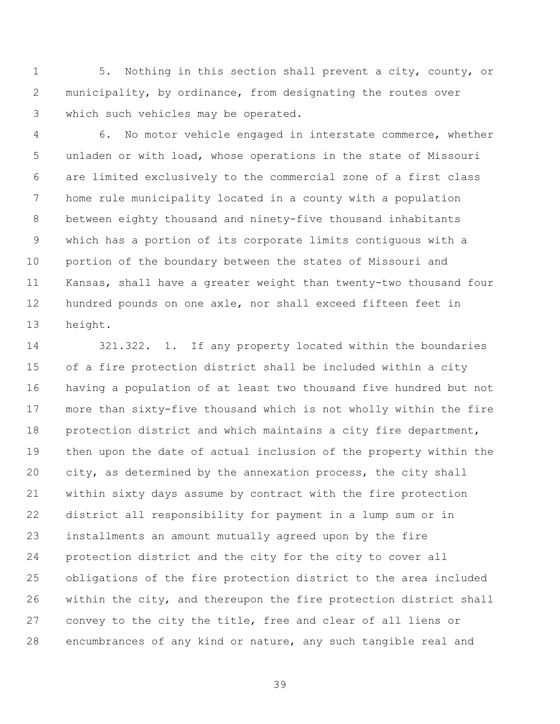5. Nothing in this section shall prevent a city, county, or municipality, by ordinance, from designating the routes over which such vehicles may be operated.

 6. No motor vehicle engaged in interstate commerce, whether unladen or with load, whose operations in the state of Missouri are limited exclusively to the commercial zone of a first class home rule municipality located in a county with a population between eighty thousand and ninety-five thousand inhabitants which has a portion of its corporate limits contiguous with a portion of the boundary between the states of Missouri and Kansas, shall have a greater weight than twenty-two thousand four hundred pounds on one axle, nor shall exceed fifteen feet in height.

 321.322. 1. If any property located within the boundaries of a fire protection district shall be included within a city having a population of at least two thousand five hundred but not more than sixty-five thousand which is not wholly within the fire 18 protection district and which maintains a city fire department, then upon the date of actual inclusion of the property within the city, as determined by the annexation process, the city shall within sixty days assume by contract with the fire protection district all responsibility for payment in a lump sum or in installments an amount mutually agreed upon by the fire protection district and the city for the city to cover all obligations of the fire protection district to the area included within the city, and thereupon the fire protection district shall convey to the city the title, free and clear of all liens or encumbrances of any kind or nature, any such tangible real and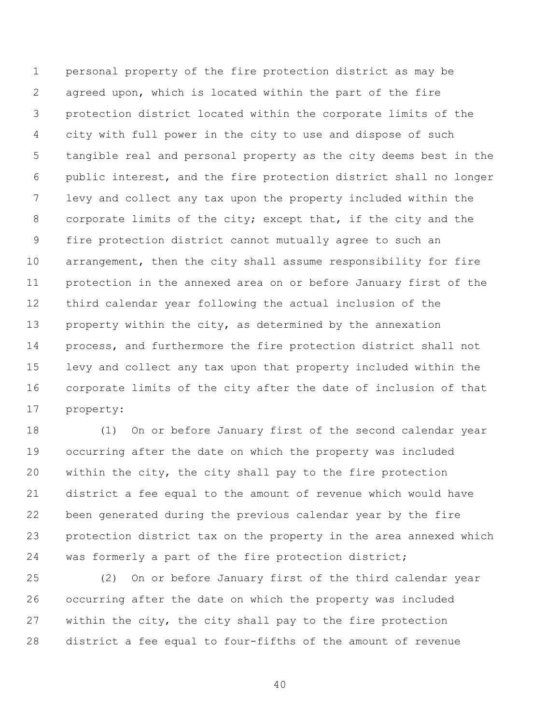personal property of the fire protection district as may be agreed upon, which is located within the part of the fire protection district located within the corporate limits of the city with full power in the city to use and dispose of such tangible real and personal property as the city deems best in the public interest, and the fire protection district shall no longer levy and collect any tax upon the property included within the corporate limits of the city; except that, if the city and the fire protection district cannot mutually agree to such an arrangement, then the city shall assume responsibility for fire protection in the annexed area on or before January first of the third calendar year following the actual inclusion of the property within the city, as determined by the annexation process, and furthermore the fire protection district shall not levy and collect any tax upon that property included within the corporate limits of the city after the date of inclusion of that property:

 (1) On or before January first of the second calendar year occurring after the date on which the property was included 20 within the city, the city shall pay to the fire protection district a fee equal to the amount of revenue which would have been generated during the previous calendar year by the fire protection district tax on the property in the area annexed which was formerly a part of the fire protection district;

 (2) On or before January first of the third calendar year occurring after the date on which the property was included within the city, the city shall pay to the fire protection district a fee equal to four-fifths of the amount of revenue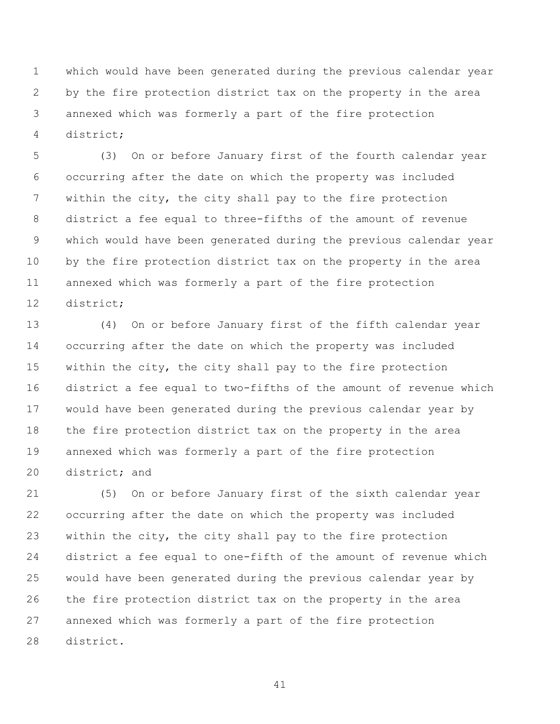which would have been generated during the previous calendar year by the fire protection district tax on the property in the area annexed which was formerly a part of the fire protection district;

 (3) On or before January first of the fourth calendar year occurring after the date on which the property was included within the city, the city shall pay to the fire protection district a fee equal to three-fifths of the amount of revenue which would have been generated during the previous calendar year by the fire protection district tax on the property in the area annexed which was formerly a part of the fire protection district;

 (4) On or before January first of the fifth calendar year occurring after the date on which the property was included 15 within the city, the city shall pay to the fire protection district a fee equal to two-fifths of the amount of revenue which would have been generated during the previous calendar year by the fire protection district tax on the property in the area annexed which was formerly a part of the fire protection district; and

 (5) On or before January first of the sixth calendar year occurring after the date on which the property was included 23 within the city, the city shall pay to the fire protection district a fee equal to one-fifth of the amount of revenue which would have been generated during the previous calendar year by the fire protection district tax on the property in the area annexed which was formerly a part of the fire protection district.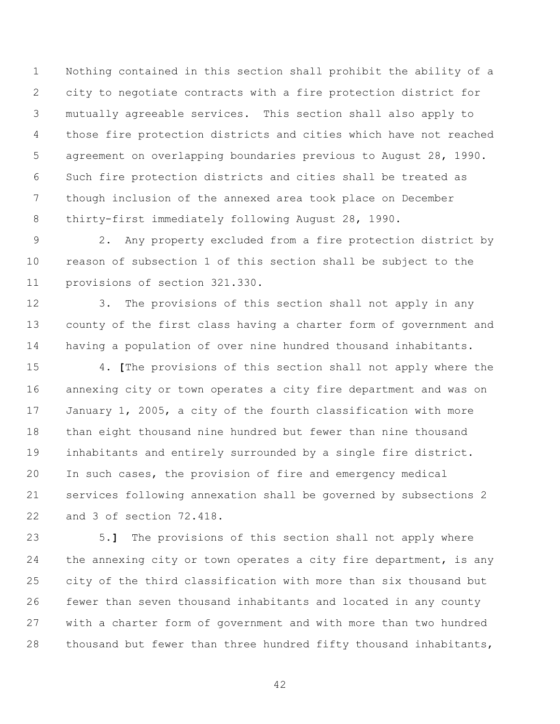Nothing contained in this section shall prohibit the ability of a city to negotiate contracts with a fire protection district for mutually agreeable services. This section shall also apply to those fire protection districts and cities which have not reached agreement on overlapping boundaries previous to August 28, 1990. Such fire protection districts and cities shall be treated as though inclusion of the annexed area took place on December thirty-first immediately following August 28, 1990.

 2. Any property excluded from a fire protection district by reason of subsection 1 of this section shall be subject to the provisions of section 321.330.

 3. The provisions of this section shall not apply in any county of the first class having a charter form of government and having a population of over nine hundred thousand inhabitants.

 4. **[**The provisions of this section shall not apply where the annexing city or town operates a city fire department and was on January 1, 2005, a city of the fourth classification with more than eight thousand nine hundred but fewer than nine thousand inhabitants and entirely surrounded by a single fire district. In such cases, the provision of fire and emergency medical services following annexation shall be governed by subsections 2 and 3 of section 72.418.

 5.**]** The provisions of this section shall not apply where 24 the annexing city or town operates a city fire department, is any city of the third classification with more than six thousand but fewer than seven thousand inhabitants and located in any county with a charter form of government and with more than two hundred 28 thousand but fewer than three hundred fifty thousand inhabitants,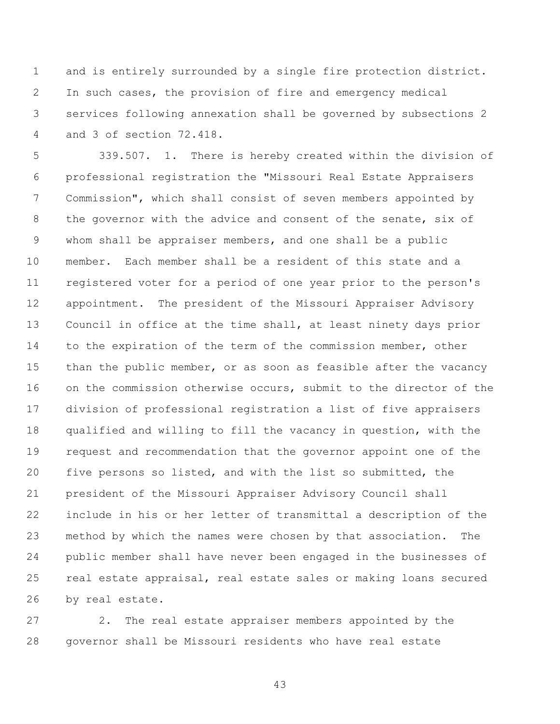and is entirely surrounded by a single fire protection district. In such cases, the provision of fire and emergency medical services following annexation shall be governed by subsections 2 and 3 of section 72.418.

 339.507. 1. There is hereby created within the division of professional registration the "Missouri Real Estate Appraisers Commission", which shall consist of seven members appointed by the governor with the advice and consent of the senate, six of whom shall be appraiser members, and one shall be a public member. Each member shall be a resident of this state and a registered voter for a period of one year prior to the person's appointment. The president of the Missouri Appraiser Advisory Council in office at the time shall, at least ninety days prior to the expiration of the term of the commission member, other 15 than the public member, or as soon as feasible after the vacancy 16 on the commission otherwise occurs, submit to the director of the division of professional registration a list of five appraisers qualified and willing to fill the vacancy in question, with the request and recommendation that the governor appoint one of the five persons so listed, and with the list so submitted, the president of the Missouri Appraiser Advisory Council shall include in his or her letter of transmittal a description of the method by which the names were chosen by that association. The public member shall have never been engaged in the businesses of real estate appraisal, real estate sales or making loans secured by real estate.

 2. The real estate appraiser members appointed by the governor shall be Missouri residents who have real estate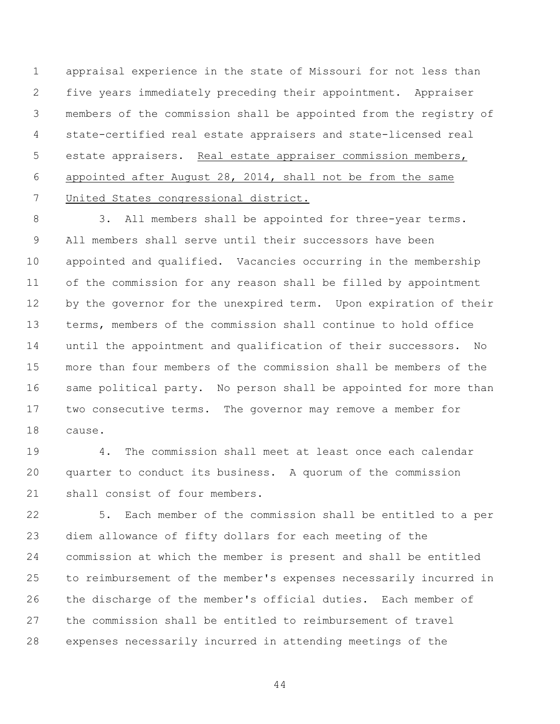appraisal experience in the state of Missouri for not less than five years immediately preceding their appointment. Appraiser members of the commission shall be appointed from the registry of state-certified real estate appraisers and state-licensed real estate appraisers. Real estate appraiser commission members, appointed after August 28, 2014, shall not be from the same United States congressional district.

8 3. All members shall be appointed for three-year terms. All members shall serve until their successors have been appointed and qualified. Vacancies occurring in the membership of the commission for any reason shall be filled by appointment by the governor for the unexpired term. Upon expiration of their terms, members of the commission shall continue to hold office until the appointment and qualification of their successors. No more than four members of the commission shall be members of the same political party. No person shall be appointed for more than two consecutive terms. The governor may remove a member for cause.

 4. The commission shall meet at least once each calendar quarter to conduct its business. A quorum of the commission shall consist of four members.

 5. Each member of the commission shall be entitled to a per diem allowance of fifty dollars for each meeting of the commission at which the member is present and shall be entitled to reimbursement of the member's expenses necessarily incurred in the discharge of the member's official duties. Each member of the commission shall be entitled to reimbursement of travel expenses necessarily incurred in attending meetings of the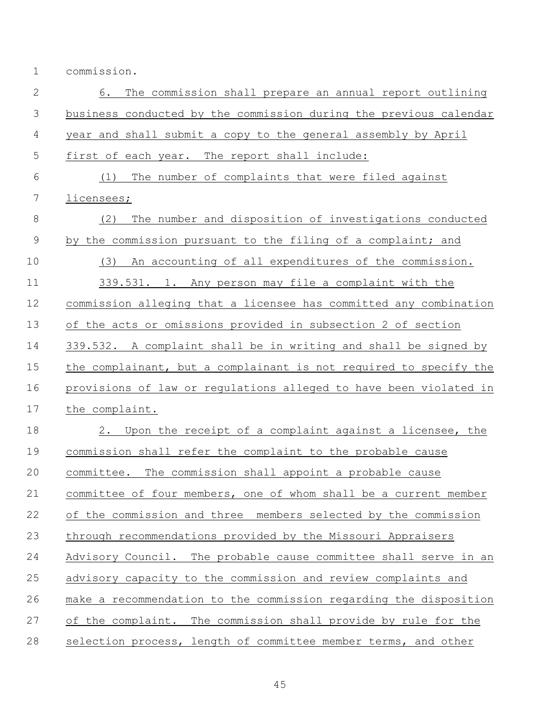commission.

| $\mathbf{2}$   | 6.<br>The commission shall prepare an annual report outlining     |
|----------------|-------------------------------------------------------------------|
| $\mathfrak{Z}$ | business conducted by the commission during the previous calendar |
| 4              | year and shall submit a copy to the general assembly by April     |
| 5              | first of each year. The report shall include:                     |
| 6              | The number of complaints that were filed against<br>(1)           |
| 7              | licensees;                                                        |
| $\,8\,$        | (2)<br>The number and disposition of investigations conducted     |
| $\mathcal{G}$  | by the commission pursuant to the filing of a complaint; and      |
| 10             | An accounting of all expenditures of the commission.<br>(3)       |
| 11             | 339.531. 1. Any person may file a complaint with the              |
| 12             | commission alleging that a licensee has committed any combination |
| 13             | of the acts or omissions provided in subsection 2 of section      |
| 14             | 339.532. A complaint shall be in writing and shall be signed by   |
| 15             | the complainant, but a complainant is not required to specify the |
| 16             | provisions of law or regulations alleged to have been violated in |
| 17             | the complaint.                                                    |
| 18             | 2. Upon the receipt of a complaint against a licensee, the        |
| 19             | commission shall refer the complaint to the probable cause        |
| 20             | committee. The commission shall appoint a probable cause          |
| 21             | committee of four members, one of whom shall be a current member  |
| 22             | of the commission and three members selected by the commission    |
| 23             | through recommendations provided by the Missouri Appraisers       |
| 24             | Advisory Council. The probable cause committee shall serve in an  |
| 25             | advisory capacity to the commission and review complaints and     |
| 26             | make a recommendation to the commission regarding the disposition |
| 27             | of the complaint. The commission shall provide by rule for the    |
| 28             | selection process, length of committee member terms, and other    |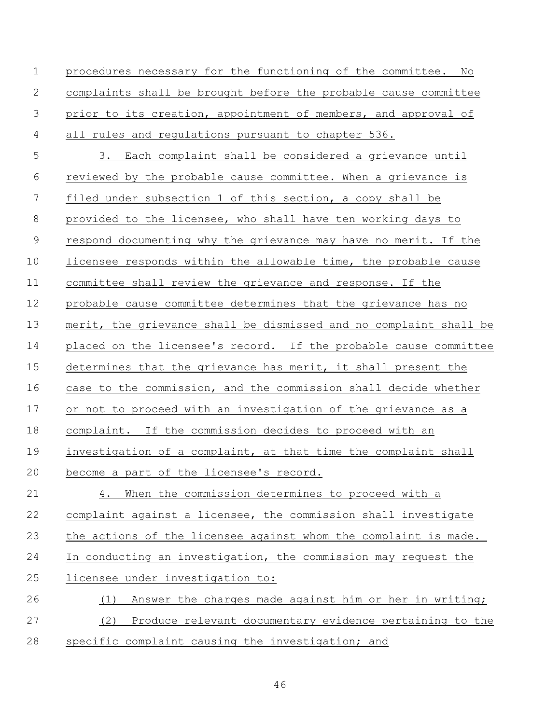procedures necessary for the functioning of the committee. No complaints shall be brought before the probable cause committee prior to its creation, appointment of members, and approval of all rules and regulations pursuant to chapter 536. 3. Each complaint shall be considered a grievance until reviewed by the probable cause committee. When a grievance is filed under subsection 1 of this section, a copy shall be provided to the licensee, who shall have ten working days to respond documenting why the grievance may have no merit. If the licensee responds within the allowable time, the probable cause committee shall review the grievance and response. If the probable cause committee determines that the grievance has no merit, the grievance shall be dismissed and no complaint shall be placed on the licensee's record. If the probable cause committee determines that the grievance has merit, it shall present the case to the commission, and the commission shall decide whether or not to proceed with an investigation of the grievance as a complaint. If the commission decides to proceed with an 19 investigation of a complaint, at that time the complaint shall become a part of the licensee's record. 4. When the commission determines to proceed with a complaint against a licensee, the commission shall investigate the actions of the licensee against whom the complaint is made. In conducting an investigation, the commission may request the licensee under investigation to: (1) Answer the charges made against him or her in writing; (2) Produce relevant documentary evidence pertaining to the specific complaint causing the investigation; and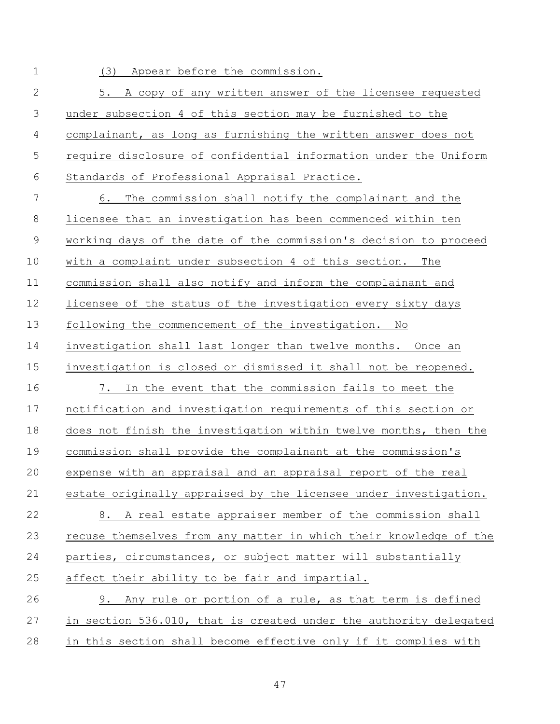(3) Appear before the commission.

 5. A copy of any written answer of the licensee requested under subsection 4 of this section may be furnished to the complainant, as long as furnishing the written answer does not require disclosure of confidential information under the Uniform Standards of Professional Appraisal Practice.

 6. The commission shall notify the complainant and the licensee that an investigation has been commenced within ten working days of the date of the commission's decision to proceed with a complaint under subsection 4 of this section. The commission shall also notify and inform the complainant and licensee of the status of the investigation every sixty days following the commencement of the investigation. No investigation shall last longer than twelve months. Once an investigation is closed or dismissed it shall not be reopened. 7. In the event that the commission fails to meet the notification and investigation requirements of this section or does not finish the investigation within twelve months, then the commission shall provide the complainant at the commission's expense with an appraisal and an appraisal report of the real estate originally appraised by the licensee under investigation. 8. A real estate appraiser member of the commission shall recuse themselves from any matter in which their knowledge of the parties, circumstances, or subject matter will substantially 25 affect their ability to be fair and impartial. 9. Any rule or portion of a rule, as that term is defined in section 536.010, that is created under the authority delegated

in this section shall become effective only if it complies with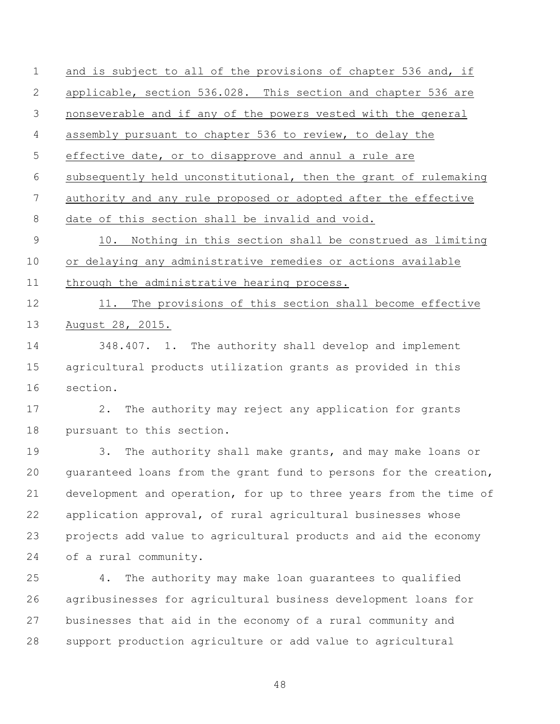and is subject to all of the provisions of chapter 536 and, if applicable, section 536.028. This section and chapter 536 are nonseverable and if any of the powers vested with the general assembly pursuant to chapter 536 to review, to delay the effective date, or to disapprove and annul a rule are subsequently held unconstitutional, then the grant of rulemaking authority and any rule proposed or adopted after the effective date of this section shall be invalid and void. 10. Nothing in this section shall be construed as limiting or delaying any administrative remedies or actions available 11 through the administrative hearing process. 12 11. The provisions of this section shall become effective August 28, 2015. 348.407. 1. The authority shall develop and implement agricultural products utilization grants as provided in this section. 2. The authority may reject any application for grants pursuant to this section. 3. The authority shall make grants, and may make loans or guaranteed loans from the grant fund to persons for the creation, development and operation, for up to three years from the time of application approval, of rural agricultural businesses whose projects add value to agricultural products and aid the economy of a rural community. 4. The authority may make loan guarantees to qualified agribusinesses for agricultural business development loans for businesses that aid in the economy of a rural community and support production agriculture or add value to agricultural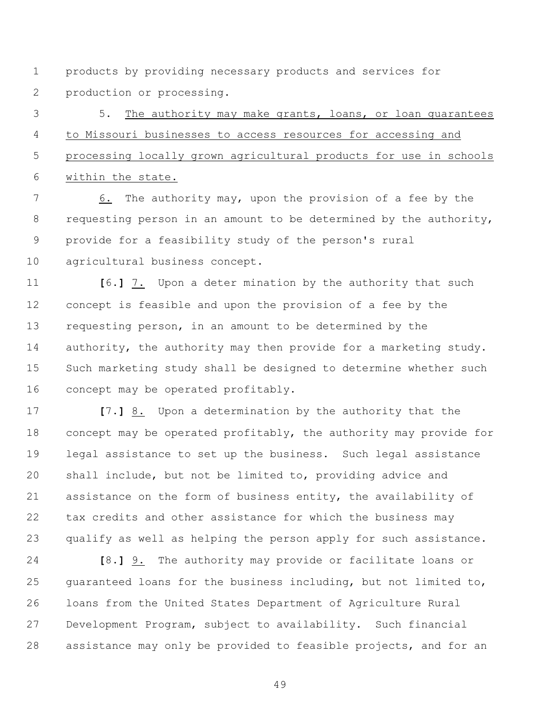products by providing necessary products and services for production or processing.

 5. The authority may make grants, loans, or loan guarantees to Missouri businesses to access resources for accessing and processing locally grown agricultural products for use in schools within the state.

 6. The authority may, upon the provision of a fee by the 8 requesting person in an amount to be determined by the authority, provide for a feasibility study of the person's rural agricultural business concept.

 **[**6.**]** 7. Upon a deter mination by the authority that such concept is feasible and upon the provision of a fee by the requesting person, in an amount to be determined by the 14 authority, the authority may then provide for a marketing study. Such marketing study shall be designed to determine whether such concept may be operated profitably.

 **[**7.**]** 8. Upon a determination by the authority that the concept may be operated profitably, the authority may provide for legal assistance to set up the business. Such legal assistance shall include, but not be limited to, providing advice and assistance on the form of business entity, the availability of tax credits and other assistance for which the business may qualify as well as helping the person apply for such assistance.

 **[**8.**]** 9. The authority may provide or facilitate loans or guaranteed loans for the business including, but not limited to, loans from the United States Department of Agriculture Rural Development Program, subject to availability. Such financial assistance may only be provided to feasible projects, and for an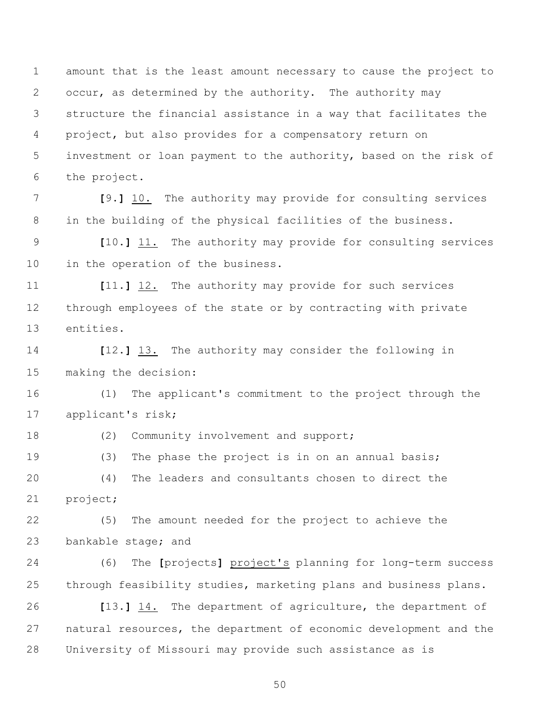amount that is the least amount necessary to cause the project to occur, as determined by the authority. The authority may structure the financial assistance in a way that facilitates the project, but also provides for a compensatory return on investment or loan payment to the authority, based on the risk of the project.

 **[**9.**]** 10. The authority may provide for consulting services in the building of the physical facilities of the business.

 **[**10.**]** 11. The authority may provide for consulting services in the operation of the business.

 **[**11.**]** 12. The authority may provide for such services through employees of the state or by contracting with private entities.

 **[**12.**]** 13. The authority may consider the following in making the decision:

 (1) The applicant's commitment to the project through the applicant's risk;

18 (2) Community involvement and support;

19 (3) The phase the project is in on an annual basis; (4) The leaders and consultants chosen to direct the

project;

 (5) The amount needed for the project to achieve the bankable stage; and

 (6) The **[**projects**]** project's planning for long-term success through feasibility studies, marketing plans and business plans.

 **[**13.**]** 14. The department of agriculture, the department of natural resources, the department of economic development and the University of Missouri may provide such assistance as is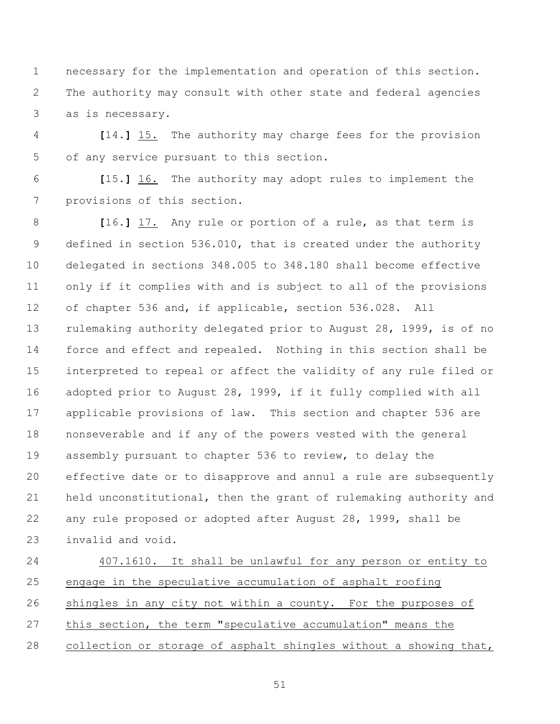necessary for the implementation and operation of this section. The authority may consult with other state and federal agencies as is necessary.

 **[**14.**]** 15. The authority may charge fees for the provision of any service pursuant to this section.

 **[**15.**]** 16. The authority may adopt rules to implement the provisions of this section.

 **[**16.**]** 17. Any rule or portion of a rule, as that term is defined in section 536.010, that is created under the authority delegated in sections 348.005 to 348.180 shall become effective only if it complies with and is subject to all of the provisions of chapter 536 and, if applicable, section 536.028. All rulemaking authority delegated prior to August 28, 1999, is of no force and effect and repealed. Nothing in this section shall be interpreted to repeal or affect the validity of any rule filed or adopted prior to August 28, 1999, if it fully complied with all applicable provisions of law. This section and chapter 536 are nonseverable and if any of the powers vested with the general assembly pursuant to chapter 536 to review, to delay the effective date or to disapprove and annul a rule are subsequently held unconstitutional, then the grant of rulemaking authority and any rule proposed or adopted after August 28, 1999, shall be invalid and void.

 407.1610. It shall be unlawful for any person or entity to engage in the speculative accumulation of asphalt roofing shingles in any city not within a county. For the purposes of this section, the term "speculative accumulation" means the collection or storage of asphalt shingles without a showing that,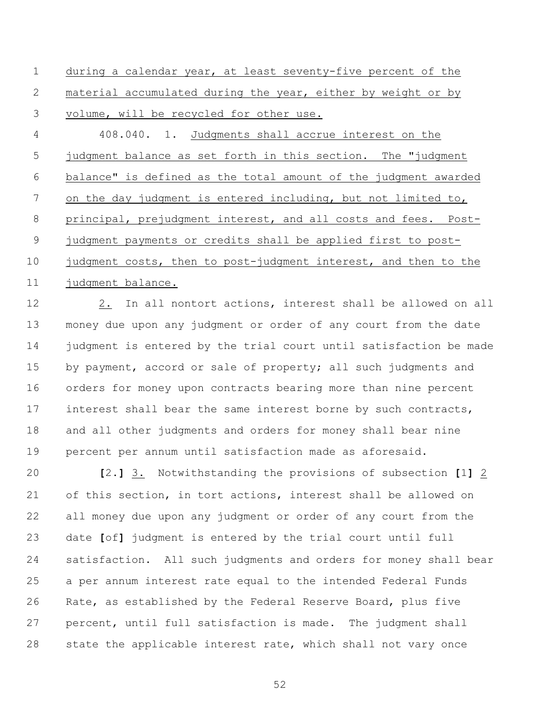during a calendar year, at least seventy-five percent of the material accumulated during the year, either by weight or by volume, will be recycled for other use.

4 408.040. 1. Judgments shall accrue interest on the judgment balance as set forth in this section. The "judgment balance" is defined as the total amount of the judgment awarded on the day judgment is entered including, but not limited to, principal, prejudgment interest, and all costs and fees. Post- judgment payments or credits shall be applied first to post-10 judgment costs, then to post-judgment interest, and then to the 11 judgment balance.

 2. In all nontort actions, interest shall be allowed on all money due upon any judgment or order of any court from the date judgment is entered by the trial court until satisfaction be made 15 by payment, accord or sale of property; all such judgments and orders for money upon contracts bearing more than nine percent interest shall bear the same interest borne by such contracts, and all other judgments and orders for money shall bear nine percent per annum until satisfaction made as aforesaid.

 **[**2.**]** 3. Notwithstanding the provisions of subsection **[**1**]** 2 of this section, in tort actions, interest shall be allowed on all money due upon any judgment or order of any court from the date **[**of**]** judgment is entered by the trial court until full satisfaction. All such judgments and orders for money shall bear a per annum interest rate equal to the intended Federal Funds Rate, as established by the Federal Reserve Board, plus five percent, until full satisfaction is made. The judgment shall state the applicable interest rate, which shall not vary once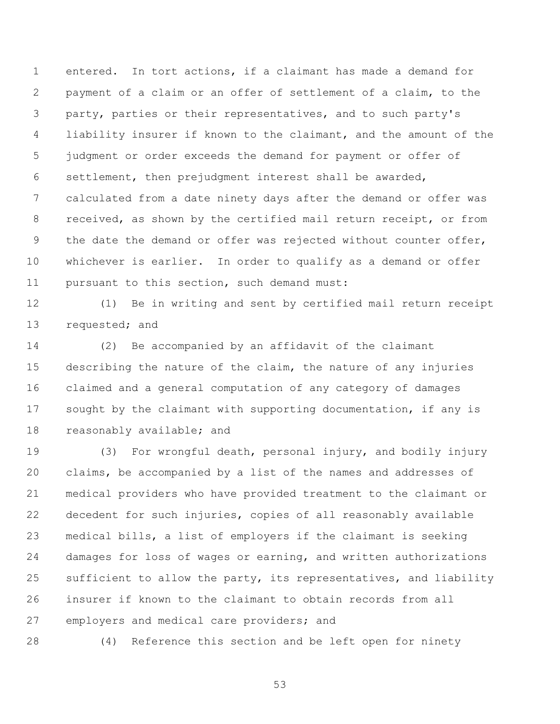entered. In tort actions, if a claimant has made a demand for payment of a claim or an offer of settlement of a claim, to the party, parties or their representatives, and to such party's liability insurer if known to the claimant, and the amount of the judgment or order exceeds the demand for payment or offer of settlement, then prejudgment interest shall be awarded, calculated from a date ninety days after the demand or offer was received, as shown by the certified mail return receipt, or from 9 the date the demand or offer was rejected without counter offer, whichever is earlier. In order to qualify as a demand or offer pursuant to this section, such demand must:

 (1) Be in writing and sent by certified mail return receipt 13 requested; and

 (2) Be accompanied by an affidavit of the claimant describing the nature of the claim, the nature of any injuries claimed and a general computation of any category of damages sought by the claimant with supporting documentation, if any is reasonably available; and

 (3) For wrongful death, personal injury, and bodily injury claims, be accompanied by a list of the names and addresses of medical providers who have provided treatment to the claimant or decedent for such injuries, copies of all reasonably available medical bills, a list of employers if the claimant is seeking damages for loss of wages or earning, and written authorizations sufficient to allow the party, its representatives, and liability insurer if known to the claimant to obtain records from all 27 employers and medical care providers; and

(4) Reference this section and be left open for ninety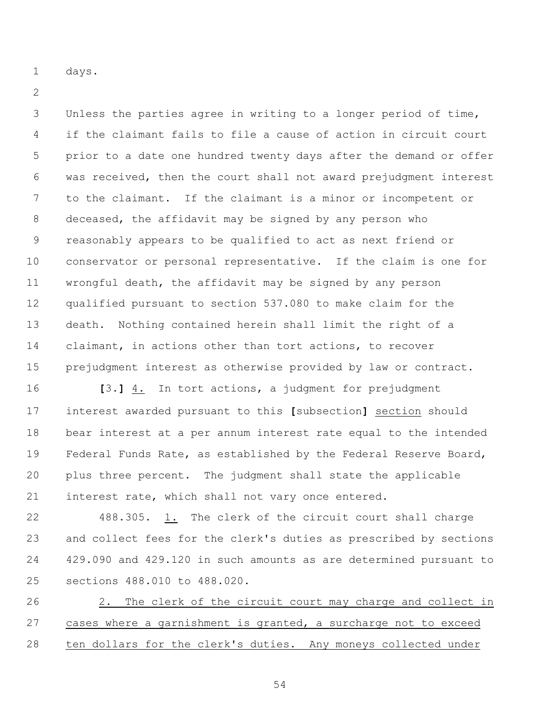days.

 Unless the parties agree in writing to a longer period of time, if the claimant fails to file a cause of action in circuit court prior to a date one hundred twenty days after the demand or offer was received, then the court shall not award prejudgment interest to the claimant. If the claimant is a minor or incompetent or deceased, the affidavit may be signed by any person who reasonably appears to be qualified to act as next friend or conservator or personal representative. If the claim is one for wrongful death, the affidavit may be signed by any person qualified pursuant to section 537.080 to make claim for the death. Nothing contained herein shall limit the right of a claimant, in actions other than tort actions, to recover prejudgment interest as otherwise provided by law or contract.

 **[**3.**]** 4. In tort actions, a judgment for prejudgment interest awarded pursuant to this **[**subsection**]** section should bear interest at a per annum interest rate equal to the intended Federal Funds Rate, as established by the Federal Reserve Board, plus three percent. The judgment shall state the applicable interest rate, which shall not vary once entered.

 488.305. 1. The clerk of the circuit court shall charge and collect fees for the clerk's duties as prescribed by sections 429.090 and 429.120 in such amounts as are determined pursuant to sections 488.010 to 488.020.

 2. The clerk of the circuit court may charge and collect in cases where a garnishment is granted, a surcharge not to exceed ten dollars for the clerk's duties. Any moneys collected under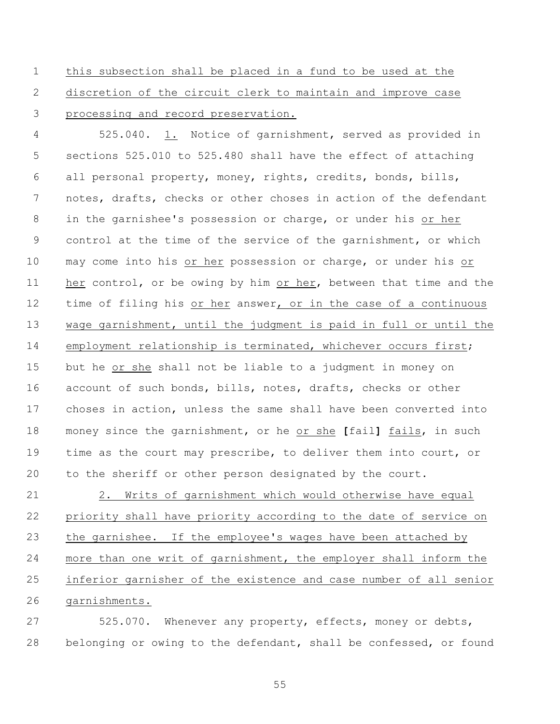this subsection shall be placed in a fund to be used at the discretion of the circuit clerk to maintain and improve case processing and record preservation.

 525.040. 1. Notice of garnishment, served as provided in sections 525.010 to 525.480 shall have the effect of attaching all personal property, money, rights, credits, bonds, bills, notes, drafts, checks or other choses in action of the defendant in the garnishee's possession or charge, or under his or her control at the time of the service of the garnishment, or which may come into his or her possession or charge, or under his or 11 her control, or be owing by him or her, between that time and the time of filing his or her answer, or in the case of a continuous wage garnishment, until the judgment is paid in full or until the employment relationship is terminated, whichever occurs first; but he or she shall not be liable to a judgment in money on account of such bonds, bills, notes, drafts, checks or other choses in action, unless the same shall have been converted into money since the garnishment, or he or she **[**fail**]** fails, in such time as the court may prescribe, to deliver them into court, or to the sheriff or other person designated by the court.

 2. Writs of garnishment which would otherwise have equal priority shall have priority according to the date of service on the garnishee. If the employee's wages have been attached by more than one writ of garnishment, the employer shall inform the inferior garnisher of the existence and case number of all senior garnishments.

 525.070. Whenever any property, effects, money or debts, belonging or owing to the defendant, shall be confessed, or found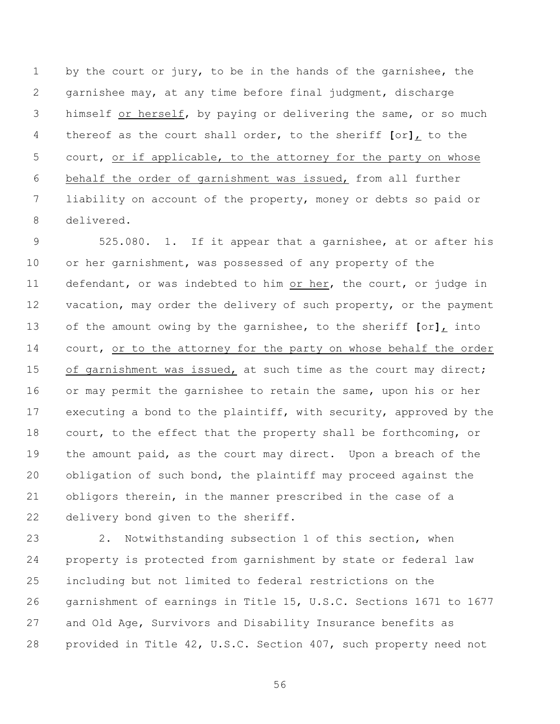by the court or jury, to be in the hands of the garnishee, the garnishee may, at any time before final judgment, discharge himself or herself, by paying or delivering the same, or so much thereof as the court shall order, to the sheriff **[**or**]**, to the court, or if applicable, to the attorney for the party on whose behalf the order of garnishment was issued, from all further liability on account of the property, money or debts so paid or delivered.

 525.080. 1. If it appear that a garnishee, at or after his or her garnishment, was possessed of any property of the 11 defendant, or was indebted to him or her, the court, or judge in 12 vacation, may order the delivery of such property, or the payment of the amount owing by the garnishee, to the sheriff **[**or**]**, into 14 court, or to the attorney for the party on whose behalf the order 15 of garnishment was issued, at such time as the court may direct; or may permit the garnishee to retain the same, upon his or her executing a bond to the plaintiff, with security, approved by the court, to the effect that the property shall be forthcoming, or the amount paid, as the court may direct. Upon a breach of the obligation of such bond, the plaintiff may proceed against the obligors therein, in the manner prescribed in the case of a delivery bond given to the sheriff.

 2. Notwithstanding subsection 1 of this section, when property is protected from garnishment by state or federal law including but not limited to federal restrictions on the garnishment of earnings in Title 15, U.S.C. Sections 1671 to 1677 and Old Age, Survivors and Disability Insurance benefits as provided in Title 42, U.S.C. Section 407, such property need not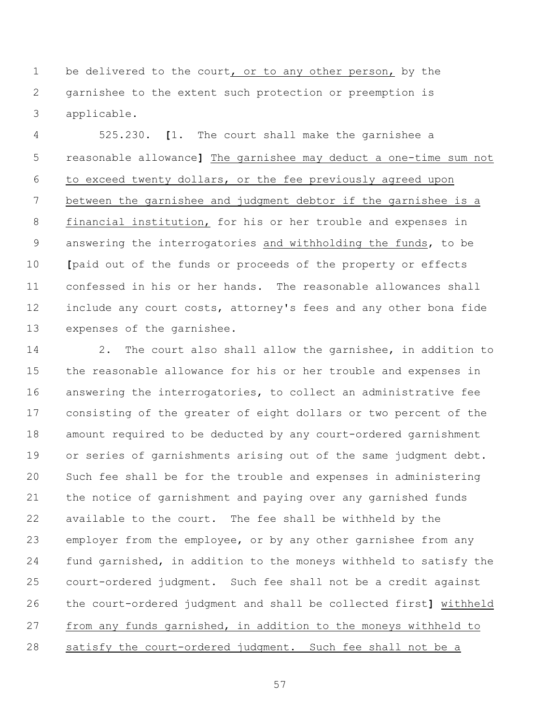be delivered to the court, or to any other person, by the garnishee to the extent such protection or preemption is applicable.

 525.230. **[**1. The court shall make the garnishee a reasonable allowance**]** The garnishee may deduct a one-time sum not to exceed twenty dollars, or the fee previously agreed upon between the garnishee and judgment debtor if the garnishee is a financial institution, for his or her trouble and expenses in answering the interrogatories and withholding the funds, to be **[**paid out of the funds or proceeds of the property or effects confessed in his or her hands. The reasonable allowances shall include any court costs, attorney's fees and any other bona fide expenses of the garnishee.

 2. The court also shall allow the garnishee, in addition to the reasonable allowance for his or her trouble and expenses in answering the interrogatories, to collect an administrative fee consisting of the greater of eight dollars or two percent of the amount required to be deducted by any court-ordered garnishment or series of garnishments arising out of the same judgment debt. Such fee shall be for the trouble and expenses in administering the notice of garnishment and paying over any garnished funds available to the court. The fee shall be withheld by the employer from the employee, or by any other garnishee from any fund garnished, in addition to the moneys withheld to satisfy the court-ordered judgment. Such fee shall not be a credit against the court-ordered judgment and shall be collected first**]** withheld from any funds garnished, in addition to the moneys withheld to 28 satisfy the court-ordered judgment. Such fee shall not be a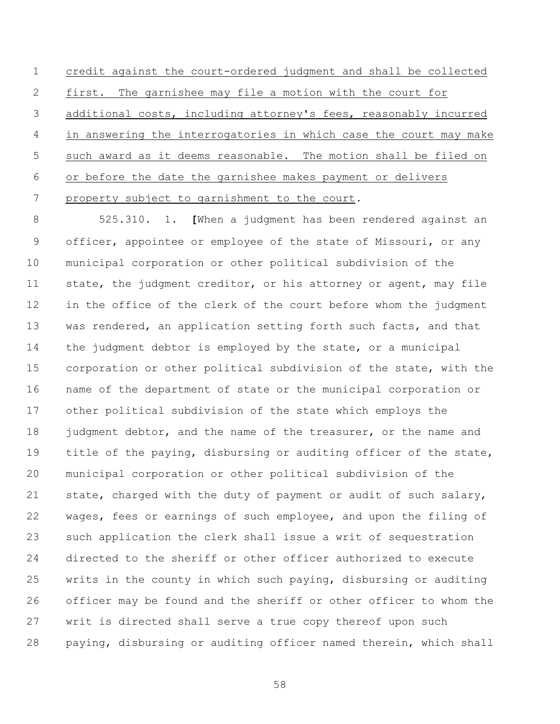credit against the court-ordered judgment and shall be collected first. The garnishee may file a motion with the court for additional costs, including attorney's fees, reasonably incurred in answering the interrogatories in which case the court may make such award as it deems reasonable. The motion shall be filed on or before the date the garnishee makes payment or delivers property subject to garnishment to the court.

 525.310. 1. **[**When a judgment has been rendered against an officer, appointee or employee of the state of Missouri, or any municipal corporation or other political subdivision of the 11 state, the judgment creditor, or his attorney or agent, may file in the office of the clerk of the court before whom the judgment 13 was rendered, an application setting forth such facts, and that the judgment debtor is employed by the state, or a municipal corporation or other political subdivision of the state, with the name of the department of state or the municipal corporation or other political subdivision of the state which employs the 18 judgment debtor, and the name of the treasurer, or the name and title of the paying, disbursing or auditing officer of the state, municipal corporation or other political subdivision of the state, charged with the duty of payment or audit of such salary, wages, fees or earnings of such employee, and upon the filing of such application the clerk shall issue a writ of sequestration directed to the sheriff or other officer authorized to execute writs in the county in which such paying, disbursing or auditing officer may be found and the sheriff or other officer to whom the writ is directed shall serve a true copy thereof upon such paying, disbursing or auditing officer named therein, which shall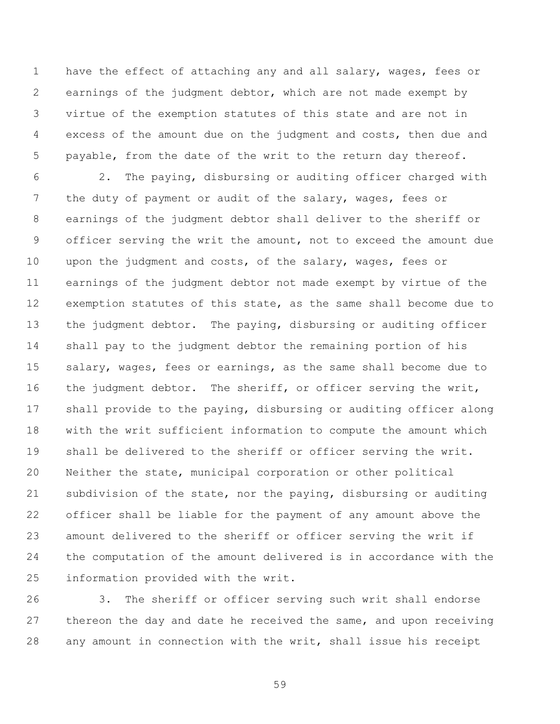have the effect of attaching any and all salary, wages, fees or earnings of the judgment debtor, which are not made exempt by virtue of the exemption statutes of this state and are not in excess of the amount due on the judgment and costs, then due and payable, from the date of the writ to the return day thereof.

 2. The paying, disbursing or auditing officer charged with the duty of payment or audit of the salary, wages, fees or earnings of the judgment debtor shall deliver to the sheriff or officer serving the writ the amount, not to exceed the amount due upon the judgment and costs, of the salary, wages, fees or earnings of the judgment debtor not made exempt by virtue of the exemption statutes of this state, as the same shall become due to the judgment debtor. The paying, disbursing or auditing officer shall pay to the judgment debtor the remaining portion of his salary, wages, fees or earnings, as the same shall become due to 16 the judgment debtor. The sheriff, or officer serving the writ, shall provide to the paying, disbursing or auditing officer along with the writ sufficient information to compute the amount which shall be delivered to the sheriff or officer serving the writ. Neither the state, municipal corporation or other political subdivision of the state, nor the paying, disbursing or auditing officer shall be liable for the payment of any amount above the amount delivered to the sheriff or officer serving the writ if the computation of the amount delivered is in accordance with the information provided with the writ.

 3. The sheriff or officer serving such writ shall endorse thereon the day and date he received the same, and upon receiving any amount in connection with the writ, shall issue his receipt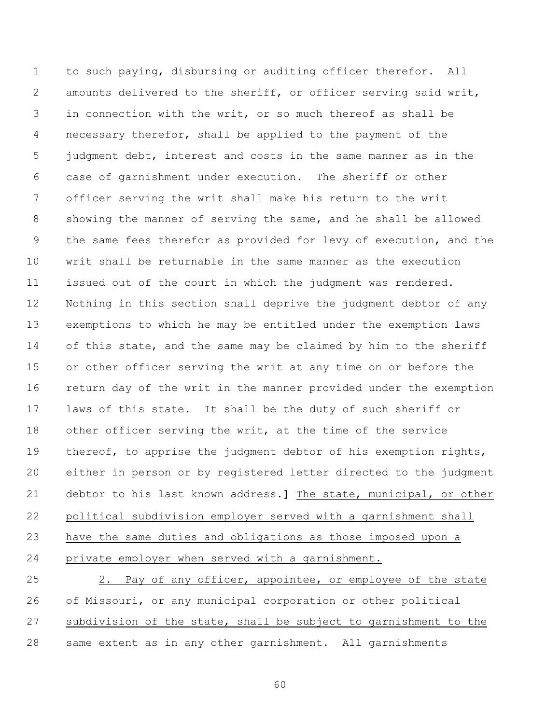to such paying, disbursing or auditing officer therefor. All amounts delivered to the sheriff, or officer serving said writ, in connection with the writ, or so much thereof as shall be necessary therefor, shall be applied to the payment of the judgment debt, interest and costs in the same manner as in the case of garnishment under execution. The sheriff or other officer serving the writ shall make his return to the writ showing the manner of serving the same, and he shall be allowed the same fees therefor as provided for levy of execution, and the writ shall be returnable in the same manner as the execution issued out of the court in which the judgment was rendered. Nothing in this section shall deprive the judgment debtor of any exemptions to which he may be entitled under the exemption laws 14 of this state, and the same may be claimed by him to the sheriff or other officer serving the writ at any time on or before the return day of the writ in the manner provided under the exemption laws of this state. It shall be the duty of such sheriff or other officer serving the writ, at the time of the service 19 thereof, to apprise the judgment debtor of his exemption rights, either in person or by registered letter directed to the judgment debtor to his last known address.**]** The state, municipal, or other political subdivision employer served with a garnishment shall have the same duties and obligations as those imposed upon a private employer when served with a garnishment. 25 2. Pay of any officer, appointee, or employee of the state

 of Missouri, or any municipal corporation or other political subdivision of the state, shall be subject to garnishment to the same extent as in any other garnishment. All garnishments